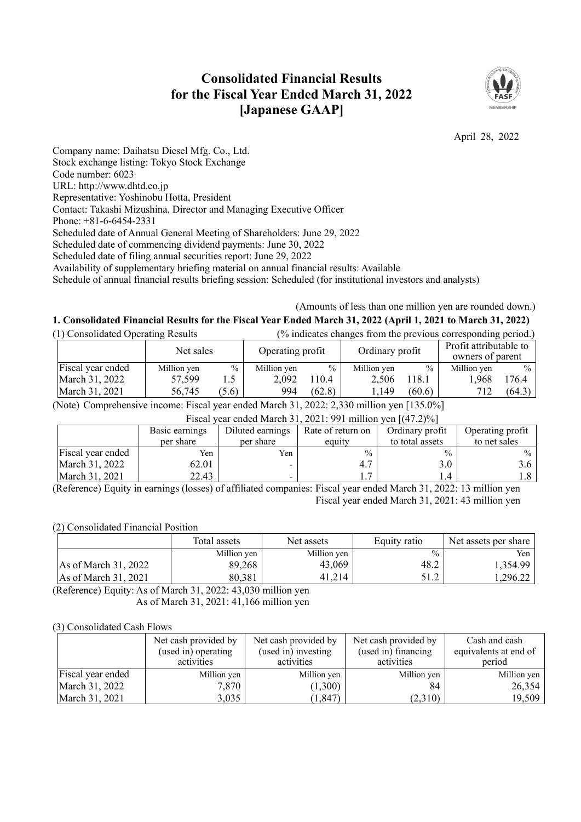# **Consolidated Financial Results for the Fiscal Year Ended March 31, 2022 [Japanese GAAP]**



April 28, 2022

Company name: Daihatsu Diesel Mfg. Co., Ltd. Stock exchange listing: Tokyo Stock Exchange Code number: 6023 URL: http://www.dhtd.co.jp Representative: Yoshinobu Hotta, President Contact: Takashi Mizushina, Director and Managing Executive Officer Phone: +81-6-6454-2331 Scheduled date of Annual General Meeting of Shareholders: June 29, 2022 Scheduled date of commencing dividend payments: June 30, 2022 Scheduled date of filing annual securities report: June 29, 2022 Availability of supplementary briefing material on annual financial results: Available Schedule of annual financial results briefing session: Scheduled (for institutional investors and analysts)

# (Amounts of less than one million yen are rounded down.) 1. Consolidated Financial Results for the Fiscal Year Ended March 31, 2022 (April 1, 2021 to March 31, 2022)

| (1) Consolidated Operating Results |             | (% indicates changes from the previous corresponding period.) |                  |        |                 |        |                                            |               |
|------------------------------------|-------------|---------------------------------------------------------------|------------------|--------|-----------------|--------|--------------------------------------------|---------------|
|                                    | Net sales   |                                                               | Operating profit |        | Ordinary profit |        | Profit attributable to<br>owners of parent |               |
| Fiscal year ended                  | Million yen | $\frac{0}{0}$                                                 | Million yen      | $\%$   | Million yen     | $\%$   | Million yen                                | $\frac{0}{0}$ |
| March 31, 2022                     | 57,599      | 1.5                                                           | 2.092            | 10.4   | 2.506           | 118.1  | 1.968                                      | 176.4         |
| March 31, 2021                     | 56,745      | (5.6)                                                         | 994              | (62.8) | 1,149           | (60.6) | 712                                        | (64.3)        |

(Note) Comprehensive income: Fiscal year ended March 31, 2022: 2,330 million yen [135.0%]

| Fiscal year ended March 31, 2021: 991 million yen $[(47.2)\%]$ |  |
|----------------------------------------------------------------|--|
|                                                                |  |

|                   | Basic earnings<br>per share | Diluted earnings<br>per share | Rate of return on<br>equity | Ordinary profit<br>to total assets | Operating profit<br>to net sales |
|-------------------|-----------------------------|-------------------------------|-----------------------------|------------------------------------|----------------------------------|
| Fiscal year ended | Yen                         | Yen                           | $\frac{0}{0}$               | $\frac{0}{0}$                      | $\frac{0}{0}$                    |
| March 31, 2022    | 62.01                       |                               |                             | 3.0                                |                                  |
| March 31, 2021    | 22.43                       |                               |                             |                                    |                                  |

(Reference) Equity in earnings (losses) of affiliated companies: Fiscal year ended March 31, 2022: 13 million yen Fiscal year ended March 31, 2021: 43 million yen

## (2) Consolidated Financial Position

|                        | Total assets | Net assets  | Equity ratio  | Net assets per share |
|------------------------|--------------|-------------|---------------|----------------------|
|                        | Million yen  | Million yen | $\frac{0}{0}$ | Yen.                 |
| As of March $31, 2022$ | 89,268       | 43,069      | 48.2          | 1.354.99             |
| As of March 31, 2021   | 80,381       | 41,214      | 51.2          | .296.22              |

(Reference) Equity: As of March 31, 2022: 43,030 million yen As of March 31, 2021: 41,166 million yen

## (3) Consolidated Cash Flows

|                   | Net cash provided by<br>(used in) operating<br>activities | Net cash provided by<br>(used in) investing<br>activities | Net cash provided by<br>(used in) financing<br>activities | Cash and cash<br>equivalents at end of<br>period |
|-------------------|-----------------------------------------------------------|-----------------------------------------------------------|-----------------------------------------------------------|--------------------------------------------------|
| Fiscal year ended | Million yen                                               | Million yen                                               | Million yen                                               | Million yen                                      |
| March 31, 2022    | 7,870                                                     | (1,300)                                                   | 84                                                        | 26,354                                           |
| March 31, 2021    | 3,035                                                     | (1, 847)                                                  | (2,310)                                                   | 19,509                                           |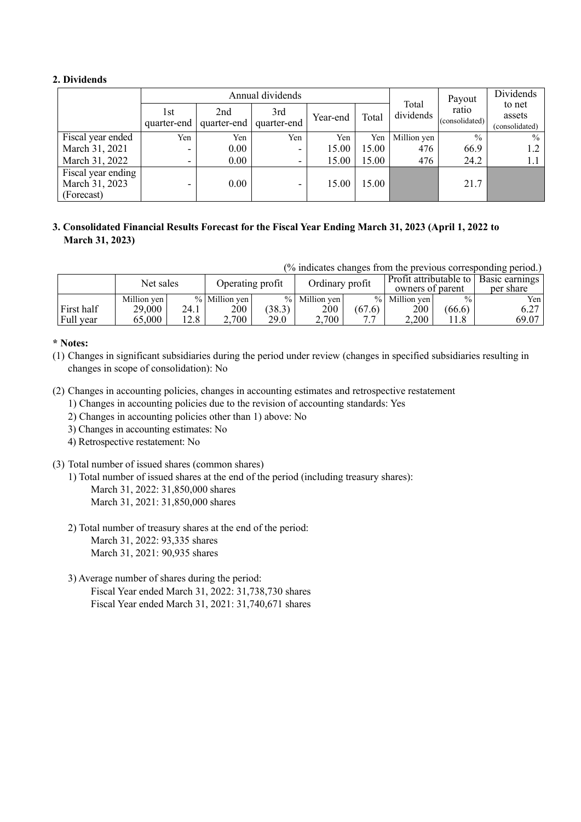# **2. Dividends**

|                                                    |                    |      | Annual dividends               |          |       |                    | Payout                  | Dividends                          |
|----------------------------------------------------|--------------------|------|--------------------------------|----------|-------|--------------------|-------------------------|------------------------------------|
|                                                    | 1st<br>quarter-end | 2nd  | 3rd<br>quarter-end quarter-end | Year-end | Total | Total<br>dividends | ratio<br>(consolidated) | to net<br>assets<br>(consolidated) |
| Fiscal year ended                                  | Yen                | Yen  | Yen                            | Yen      | Yen 1 | Million yen        | $\frac{0}{0}$           | $\%$                               |
| March 31, 2021                                     | ۰                  | 0.00 | $\overline{\phantom{0}}$       | 15.00    | 15.00 | 476                | 66.9                    | 1.2                                |
| March 31, 2022                                     | -                  | 0.00 | $\overline{\phantom{0}}$       | 15.00    | 15.00 | 476                | 24.2                    | 1.1                                |
| Fiscal year ending<br>March 31, 2023<br>(Forecast) | ٠                  | 0.00 | $\overline{\phantom{0}}$       | 15.00    | 15.00 |                    | 21.7                    |                                    |

# **3. Consolidated Financial Results Forecast for the Fiscal Year Ending March 31, 2023 (April 1, 2022 to March 31, 2023)**

(% indicates changes from the previous corresponding period.)

|            | Net sales   |      | Operating profit |        | Ordinary profit |        | Profit attributable to l<br>owners of parent |               | Basic earnings<br>per share |
|------------|-------------|------|------------------|--------|-----------------|--------|----------------------------------------------|---------------|-----------------------------|
|            | Million ven |      | $%$ Million ven  |        | % Million ven   |        | % Million ven                                | $\frac{0}{0}$ | Yen l                       |
| First half | 29,000      | 24.1 | 200              | (38.3) | 200             | (67.6) | 200                                          | (66.6)        | 0.27                        |
| Full year  | 65,000      | 12.8 | 2,700            | 29.0   | 2,700           | . .    | 2,200                                        | 11.8          | 69.07                       |

# **\* Notes:**

- (1) Changes in significant subsidiaries during the period under review (changes in specified subsidiaries resulting in changes in scope of consolidation): No
- (2) Changes in accounting policies, changes in accounting estimates and retrospective restatement
	- 1) Changes in accounting policies due to the revision of accounting standards: Yes
	- 2) Changes in accounting policies other than 1) above: No
	- 3) Changes in accounting estimates: No
	- 4) Retrospective restatement: No
- (3) Total number of issued shares (common shares)
	- 1) Total number of issued shares at the end of the period (including treasury shares): March 31, 2022: 31,850,000 shares March 31, 2021: 31,850,000 shares
	- 2) Total number of treasury shares at the end of the period: March 31, 2022: 93,335 shares March 31, 2021: 90,935 shares
	- 3) Average number of shares during the period: Fiscal Year ended March 31, 2022: 31,738,730 shares Fiscal Year ended March 31, 2021: 31,740,671 shares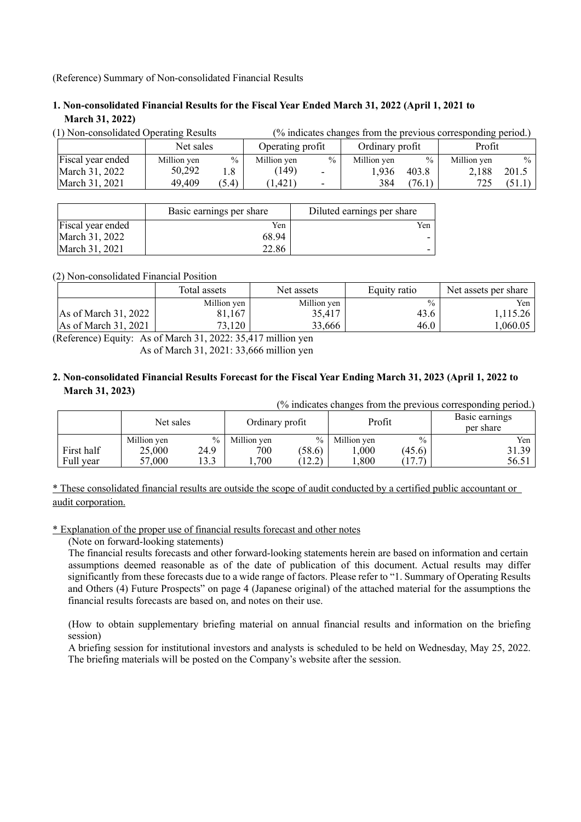(Reference) Summary of Non-consolidated Financial Results

# **1. Non-consolidated Financial Results for the Fiscal Year Ended March 31, 2022 (April 1, 2021 to March 31, 2022)**

| (1) Non-consolidated Operating Results |             |       |                  |                          | (% indicates changes from the previous corresponding period.) |               |             |               |
|----------------------------------------|-------------|-------|------------------|--------------------------|---------------------------------------------------------------|---------------|-------------|---------------|
|                                        | Net sales   |       | Operating profit |                          | Ordinary profit                                               |               | Profit      |               |
| Fiscal year ended                      | Million yen | $\%$  | Million yen      | $\frac{0}{0}$            | Million ven                                                   | $\frac{0}{0}$ | Million yen | $\frac{0}{0}$ |
| March 31, 2022                         | 50,292      | 1.8   | (149)            | $\sim$                   | 1,936                                                         | 403.8         | 2.188       | 201.5         |
| March 31, 2021                         | 49,409      | (5.4) | (1.421)          | $\overline{\phantom{0}}$ | 384                                                           | (76.1)        | 725         | (51.1)        |

|                   | Basic earnings per share | Diluted earnings per share |
|-------------------|--------------------------|----------------------------|
| Fiscal year ended | Yen                      | Yen                        |
| March 31, 2022    | 68.94                    |                            |
| March 31, 2021    | 22.86                    |                            |

(2) Non-consolidated Financial Position

|                        | Total assets | Net assets  | Equity ratio  | Net assets per share |
|------------------------|--------------|-------------|---------------|----------------------|
|                        | Million ven  | Million yen | $\frac{0}{0}$ | Yen                  |
| As of March 31, 2022   | 81,167       | 35,417      | 43.6          | 1.115.26             |
| As of March $31, 2021$ | 73,120       | 33,666      | 46.0          | .060.05              |

(Reference) Equity: As of March 31, 2022: 35,417 million yen As of March 31, 2021: 33,666 million yen

# 2. Non-consolidated Financial Results Forecast for the Fiscal Year Ending March 31, 2023 (April 1, 2022 to **March 31, 2023)**

(% indicates changes from the previous corresponding period.)

|            | Net sales   |               | Ordinary profit |                 | Profit      |               | $\circ$ 1<br>Basic earnings<br>per share |
|------------|-------------|---------------|-----------------|-----------------|-------------|---------------|------------------------------------------|
|            | Million yen | $\frac{0}{0}$ | Million yen     | $\%$            | Million yen | $\frac{0}{0}$ | Yen.                                     |
| First half | 25,000      | 24.9          | 700             | (58.6)          | 000.        | (45.6)        | 31.39                                    |
| Full year  | 57,000      | 3.3           | ,700            | (12.2)<br>14.L' | ,800        | 17.7          | 56.51                                    |

\* These consolidated financial results are outside the scope of audit conducted by a certified public accountant or audit corporation.

\* Explanation of the proper use of financial results forecast and other notes

(Note on forward-looking statements)

The financial results forecasts and other forward-looking statements herein are based on information and certain assumptions deemed reasonable as of the date of publication of this document. Actual results may differ significantly from these forecasts due to a wide range of factors. Please refer to "1. Summary of Operating Results and Others (4) Future Prospects" on page 4 (Japanese original) of the attached material for the assumptions the financial results forecasts are based on, and notes on their use.

(How to obtain supplementary briefing material on annual financial results and information on the briefing session)

A briefing session for institutional investors and analysts is scheduled to be held on Wednesday, May 25, 2022. The briefing materials will be posted on the Company's website after the session.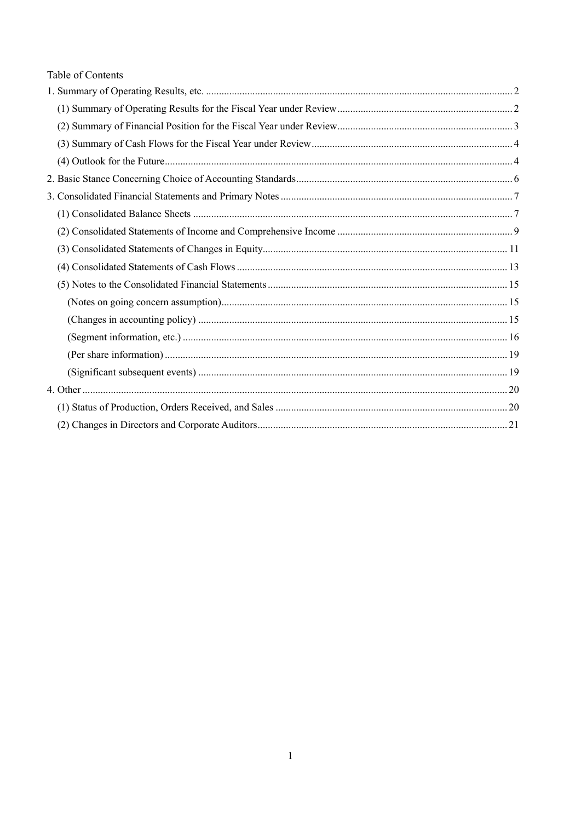# Table of Contents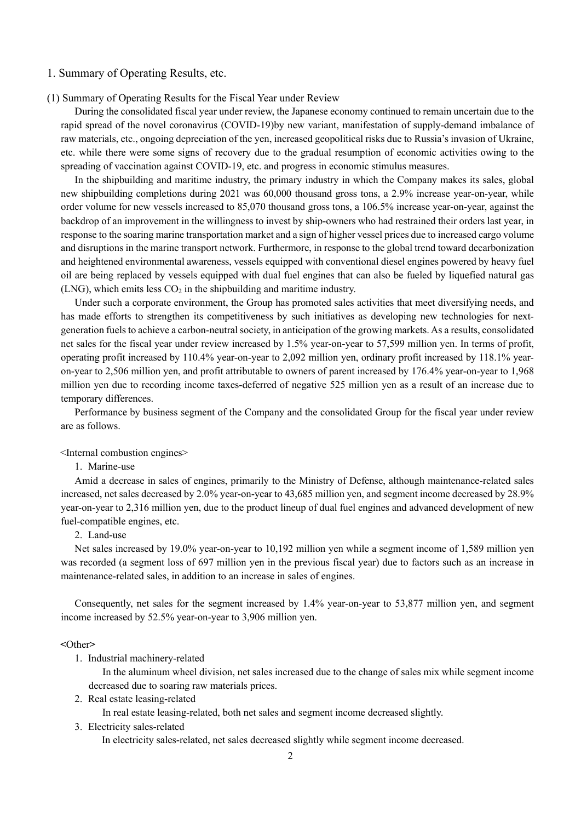#### 1. Summary of Operating Results, etc.

(1) Summary of Operating Results for the Fiscal Year under Review

During the consolidated fiscal year under review, the Japanese economy continued to remain uncertain due to the rapid spread of the novel coronavirus (COVID-19)by new variant, manifestation of supply-demand imbalance of raw materials, etc., ongoing depreciation of the yen, increased geopolitical risks due to Russia's invasion of Ukraine, etc. while there were some signs of recovery due to the gradual resumption of economic activities owing to the spreading of vaccination against COVID-19, etc. and progress in economic stimulus measures.

In the shipbuilding and maritime industry, the primary industry in which the Company makes its sales, global new shipbuilding completions during 2021 was 60,000 thousand gross tons, a 2.9% increase year-on-year, while order volume for new vessels increased to 85,070 thousand gross tons, a 106.5% increase year-on-year, against the backdrop of an improvement in the willingness to invest by ship-owners who had restrained their orders last year, in response to the soaring marine transportation market and a sign of higher vessel prices due to increased cargo volume and disruptions in the marine transport network. Furthermore, in response to the global trend toward decarbonization and heightened environmental awareness, vessels equipped with conventional diesel engines powered by heavy fuel oil are being replaced by vessels equipped with dual fuel engines that can also be fueled by liquefied natural gas (LNG), which emits less  $CO<sub>2</sub>$  in the shipbuilding and maritime industry.

Under such a corporate environment, the Group has promoted sales activities that meet diversifying needs, and has made efforts to strengthen its competitiveness by such initiatives as developing new technologies for nextgeneration fuels to achieve a carbon-neutral society, in anticipation of the growing markets. As a results, consolidated net sales for the fiscal year under review increased by 1.5% year-on-year to 57,599 million yen. In terms of profit, operating profit increased by 110.4% year-on-year to 2,092 million yen, ordinary profit increased by 118.1% yearon-year to 2,506 million yen, and profit attributable to owners of parent increased by 176.4% year-on-year to 1,968 million yen due to recording income taxes-deferred of negative 525 million yen as a result of an increase due to temporary differences.

Performance by business segment of the Company and the consolidated Group for the fiscal year under review are as follows.

<Internal combustion engines>

1. Marine-use

Amid a decrease in sales of engines, primarily to the Ministry of Defense, although maintenance-related sales increased, net sales decreased by 2.0% year-on-year to 43,685 million yen, and segment income decreased by 28.9% year-on-year to 2,316 million yen, due to the product lineup of dual fuel engines and advanced development of new fuel-compatible engines, etc.

2. Land-use

Net sales increased by 19.0% year-on-year to 10,192 million yen while a segment income of 1,589 million yen was recorded (a segment loss of 697 million yen in the previous fiscal year) due to factors such as an increase in maintenance-related sales, in addition to an increase in sales of engines.

Consequently, net sales for the segment increased by 1.4% year-on-year to 53,877 million yen, and segment income increased by 52.5% year-on-year to 3,906 million yen.

#### **<**Other**>**

1. Industrial machinery-related

In the aluminum wheel division, net sales increased due to the change of sales mix while segment income decreased due to soaring raw materials prices.

2. Real estate leasing-related

In real estate leasing-related, both net sales and segment income decreased slightly.

3. Electricity sales-related

In electricity sales-related, net sales decreased slightly while segment income decreased.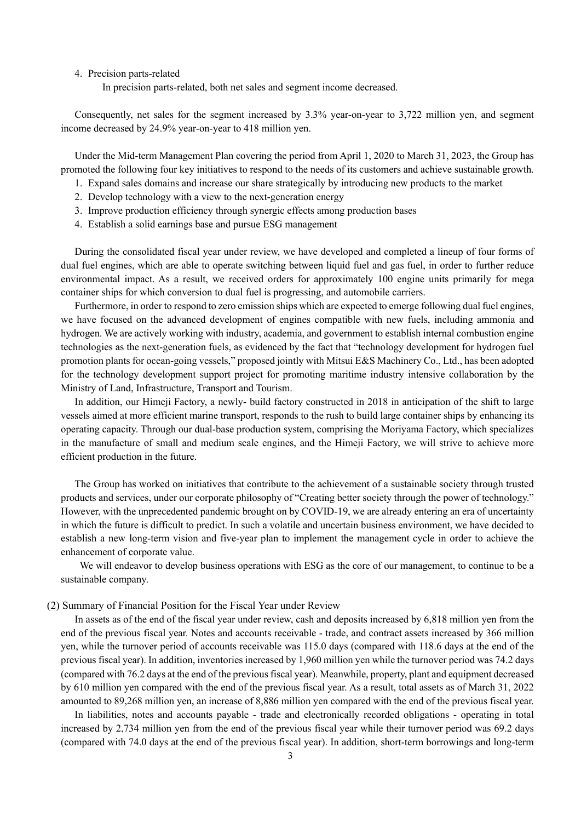#### 4. Precision parts-related

In precision parts-related, both net sales and segment income decreased.

Consequently, net sales for the segment increased by 3.3% year-on-year to 3,722 million yen, and segment income decreased by 24.9% year-on-year to 418 million yen.

Under the Mid-term Management Plan covering the period from April 1, 2020 to March 31, 2023, the Group has promoted the following four key initiatives to respond to the needs of its customers and achieve sustainable growth.

- 1. Expand sales domains and increase our share strategically by introducing new products to the market
- 2. Develop technology with a view to the next-generation energy
- 3. Improve production efficiency through synergic effects among production bases
- 4. Establish a solid earnings base and pursue ESG management

During the consolidated fiscal year under review, we have developed and completed a lineup of four forms of dual fuel engines, which are able to operate switching between liquid fuel and gas fuel, in order to further reduce environmental impact. As a result, we received orders for approximately 100 engine units primarily for mega container ships for which conversion to dual fuel is progressing, and automobile carriers.

Furthermore, in order to respond to zero emission ships which are expected to emerge following dual fuel engines, we have focused on the advanced development of engines compatible with new fuels, including ammonia and hydrogen. We are actively working with industry, academia, and government to establish internal combustion engine technologies as the next-generation fuels, as evidenced by the fact that "technology development for hydrogen fuel promotion plants for ocean-going vessels," proposed jointly with Mitsui E&S Machinery Co., Ltd., has been adopted for the technology development support project for promoting maritime industry intensive collaboration by the Ministry of Land, Infrastructure, Transport and Tourism.

In addition, our Himeji Factory, a newly- build factory constructed in 2018 in anticipation of the shift to large vessels aimed at more efficient marine transport, responds to the rush to build large container ships by enhancing its operating capacity. Through our dual-base production system, comprising the Moriyama Factory, which specializes in the manufacture of small and medium scale engines, and the Himeji Factory, we will strive to achieve more efficient production in the future.

The Group has worked on initiatives that contribute to the achievement of a sustainable society through trusted products and services, under our corporate philosophy of "Creating better society through the power of technology." However, with the unprecedented pandemic brought on by COVID-19, we are already entering an era of uncertainty in which the future is difficult to predict. In such a volatile and uncertain business environment, we have decided to establish a new long-term vision and five-year plan to implement the management cycle in order to achieve the enhancement of corporate value.

We will endeavor to develop business operations with ESG as the core of our management, to continue to be a sustainable company.

#### (2) Summary of Financial Position for the Fiscal Year under Review

In assets as of the end of the fiscal year under review, cash and deposits increased by 6,818 million yen from the end of the previous fiscal year. Notes and accounts receivable - trade, and contract assets increased by 366 million yen, while the turnover period of accounts receivable was 115.0 days (compared with 118.6 days at the end of the previous fiscal year). In addition, inventories increased by 1,960 million yen while the turnover period was 74.2 days (compared with 76.2 days at the end of the previousfiscal year). Meanwhile, property, plant and equipment decreased by 610 million yen compared with the end of the previous fiscal year. As a result, total assets as of March 31, 2022 amounted to 89,268 million yen, an increase of 8,886 million yen compared with the end of the previous fiscal year.

In liabilities, notes and accounts payable - trade and electronically recorded obligations - operating in total increased by 2,734 million yen from the end of the previous fiscal year while their turnover period was 69.2 days (compared with 74.0 days at the end of the previous fiscal year). In addition, short-term borrowings and long-term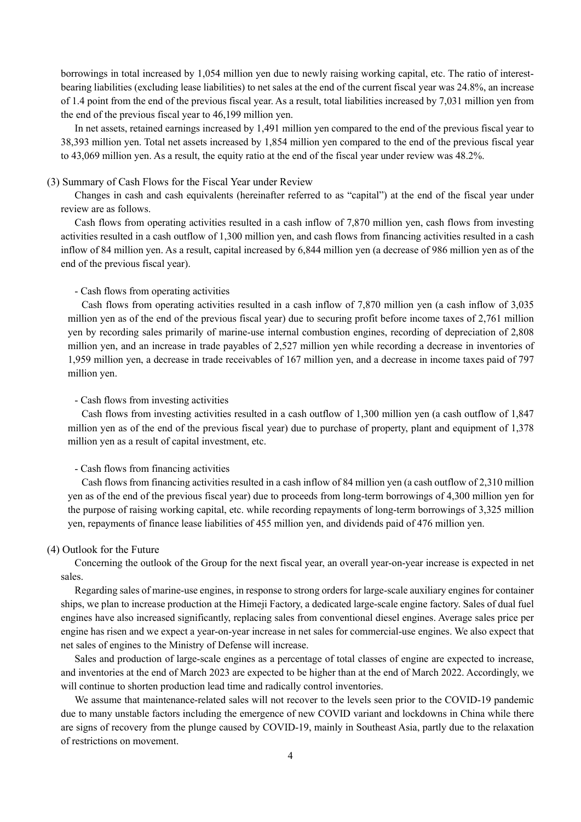borrowings in total increased by 1,054 million yen due to newly raising working capital, etc. The ratio of interestbearing liabilities (excluding lease liabilities) to net sales at the end of the current fiscal year was 24.8%, an increase of 1.4 point from the end of the previous fiscal year. As a result, total liabilities increased by 7,031 million yen from the end of the previous fiscal year to 46,199 million yen.

In net assets, retained earnings increased by 1,491 million yen compared to the end of the previous fiscal year to 38,393 million yen. Total net assets increased by 1,854 million yen compared to the end of the previous fiscal year to 43,069 million yen. As a result, the equity ratio at the end of the fiscal year under review was 48.2%.

#### (3) Summary of Cash Flows for the Fiscal Year under Review

Changes in cash and cash equivalents (hereinafter referred to as "capital") at the end of the fiscal year under review are as follows.

Cash flows from operating activities resulted in a cash inflow of 7,870 million yen, cash flows from investing activities resulted in a cash outflow of 1,300 million yen, and cash flows from financing activities resulted in a cash inflow of 84 million yen. As a result, capital increased by 6,844 million yen (a decrease of 986 million yen as of the end of the previous fiscal year).

#### - Cash flows from operating activities

Cash flows from operating activities resulted in a cash inflow of 7,870 million yen (a cash inflow of 3,035 million yen as of the end of the previous fiscal year) due to securing profit before income taxes of 2,761 million yen by recording sales primarily of marine-use internal combustion engines, recording of depreciation of 2,808 million yen, and an increase in trade payables of 2,527 million yen while recording a decrease in inventories of 1,959 million yen, a decrease in trade receivables of 167 million yen, and a decrease in income taxes paid of 797 million yen.

#### - Cash flows from investing activities

Cash flows from investing activities resulted in a cash outflow of 1,300 million yen (a cash outflow of 1,847 million yen as of the end of the previous fiscal year) due to purchase of property, plant and equipment of 1,378 million yen as a result of capital investment, etc.

#### - Cash flows from financing activities

Cash flows from financing activities resulted in a cash inflow of 84 million yen (a cash outflow of 2,310 million yen as of the end of the previous fiscal year) due to proceeds from long-term borrowings of 4,300 million yen for the purpose of raising working capital, etc. while recording repayments of long-term borrowings of 3,325 million yen, repayments of finance lease liabilities of 455 million yen, and dividends paid of 476 million yen.

#### (4) Outlook for the Future

Concerning the outlook of the Group for the next fiscal year, an overall year-on-year increase is expected in net sales.

Regarding sales of marine-use engines, in response to strong orders for large-scale auxiliary engines for container ships, we plan to increase production at the Himeji Factory, a dedicated large-scale engine factory. Sales of dual fuel engines have also increased significantly, replacing sales from conventional diesel engines. Average sales price per engine has risen and we expect a year-on-year increase in net sales for commercial-use engines. We also expect that net sales of engines to the Ministry of Defense will increase.

Sales and production of large-scale engines as a percentage of total classes of engine are expected to increase, and inventories at the end of March 2023 are expected to be higher than at the end of March 2022. Accordingly, we will continue to shorten production lead time and radically control inventories.

We assume that maintenance-related sales will not recover to the levels seen prior to the COVID-19 pandemic due to many unstable factors including the emergence of new COVID variant and lockdowns in China while there are signs of recovery from the plunge caused by COVID-19, mainly in Southeast Asia, partly due to the relaxation of restrictions on movement.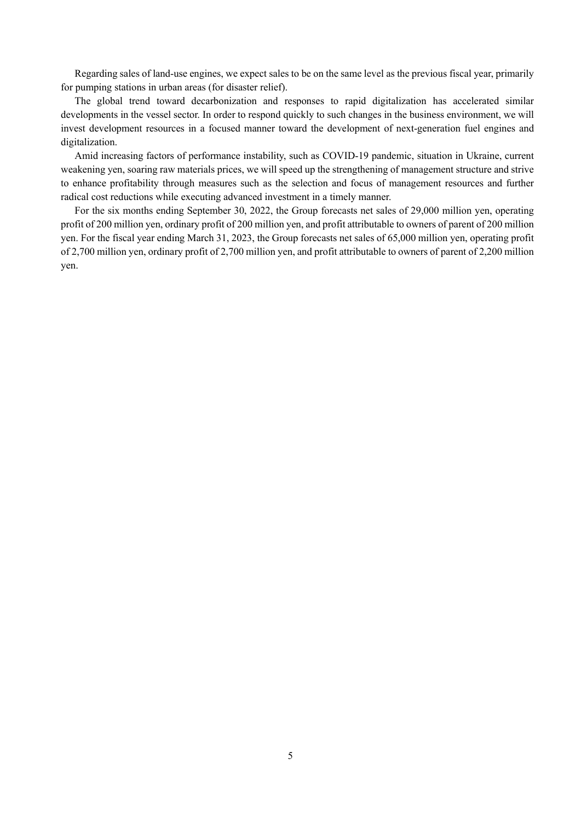Regarding sales of land-use engines, we expect sales to be on the same level as the previous fiscal year, primarily for pumping stations in urban areas (for disaster relief).

The global trend toward decarbonization and responses to rapid digitalization has accelerated similar developments in the vessel sector. In order to respond quickly to such changes in the business environment, we will invest development resources in a focused manner toward the development of next-generation fuel engines and digitalization.

Amid increasing factors of performance instability, such as COVID-19 pandemic, situation in Ukraine, current weakening yen, soaring raw materials prices, we will speed up the strengthening of management structure and strive to enhance profitability through measures such as the selection and focus of management resources and further radical cost reductions while executing advanced investment in a timely manner.

For the six months ending September 30, 2022, the Group forecasts net sales of 29,000 million yen, operating profit of 200 million yen, ordinary profit of 200 million yen, and profit attributable to owners of parent of 200 million yen. For the fiscal year ending March 31, 2023, the Group forecasts net sales of 65,000 million yen, operating profit of 2,700 million yen, ordinary profit of 2,700 million yen, and profit attributable to owners of parent of 2,200 million yen.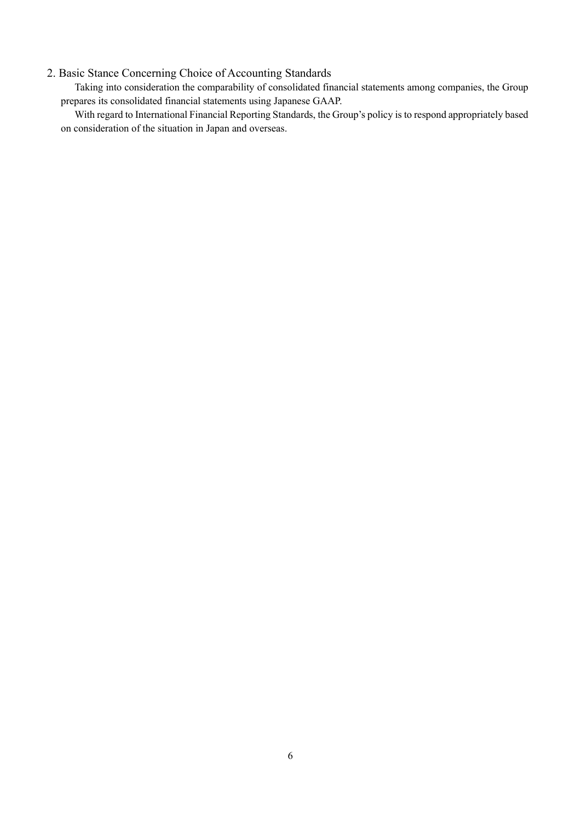# 2. Basic Stance Concerning Choice of Accounting Standards

Taking into consideration the comparability of consolidated financial statements among companies, the Group prepares its consolidated financial statements using Japanese GAAP.

With regard to International Financial Reporting Standards, the Group's policy is to respond appropriately based on consideration of the situation in Japan and overseas.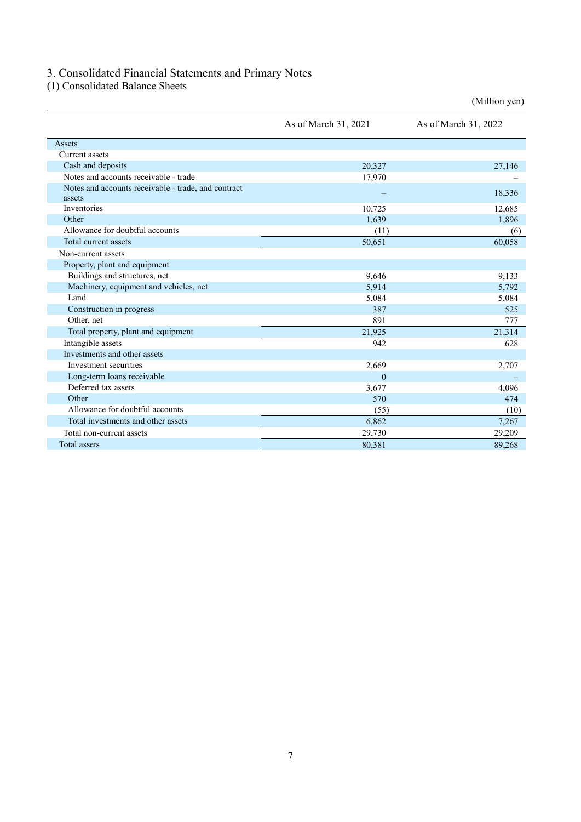# 3. Consolidated Financial Statements and Primary Notes

(1) Consolidated Balance Sheets

|                                                               | As of March 31, 2021 | As of March 31, 2022 |
|---------------------------------------------------------------|----------------------|----------------------|
| Assets                                                        |                      |                      |
| Current assets                                                |                      |                      |
| Cash and deposits                                             | 20,327               | 27,146               |
| Notes and accounts receivable - trade                         | 17,970               |                      |
| Notes and accounts receivable - trade, and contract<br>assets |                      | 18,336               |
| Inventories                                                   | 10,725               | 12,685               |
| Other                                                         | 1,639                | 1,896                |
| Allowance for doubtful accounts                               | (11)                 | (6)                  |
| Total current assets                                          | 50,651               | 60,058               |
| Non-current assets                                            |                      |                      |
| Property, plant and equipment                                 |                      |                      |
| Buildings and structures, net                                 | 9,646                | 9,133                |
| Machinery, equipment and vehicles, net                        | 5,914                | 5,792                |
| Land                                                          | 5,084                | 5,084                |
| Construction in progress                                      | 387                  | 525                  |
| Other, net                                                    | 891                  | 777                  |
| Total property, plant and equipment                           | 21,925               | 21,314               |
| Intangible assets                                             | 942                  | 628                  |
| Investments and other assets                                  |                      |                      |
| Investment securities                                         | 2,669                | 2,707                |
| Long-term loans receivable                                    | $\Omega$             |                      |
| Deferred tax assets                                           | 3,677                | 4,096                |
| Other                                                         | 570                  | 474                  |
| Allowance for doubtful accounts                               | (55)                 | (10)                 |
| Total investments and other assets                            | 6,862                | 7,267                |
| Total non-current assets                                      | 29,730               | 29,209               |
| <b>Total</b> assets                                           | 80.381               | 89,268               |

(Million yen)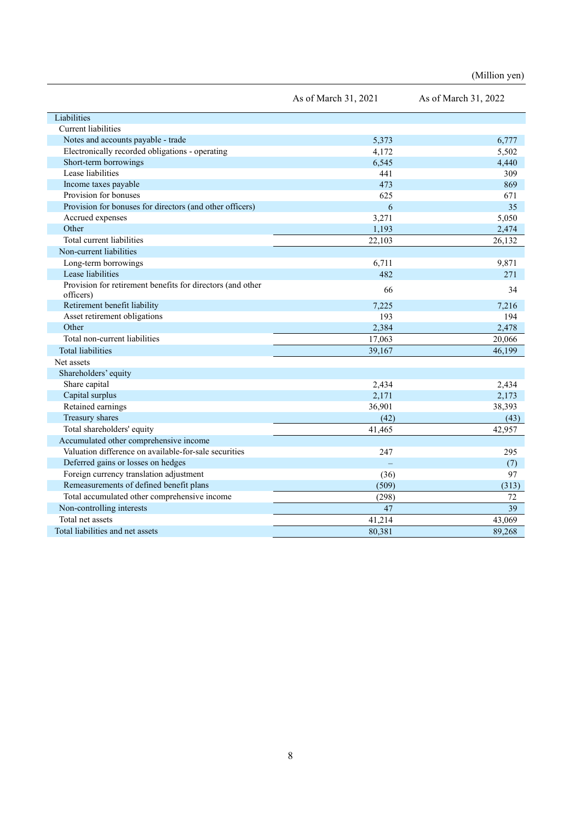|                                                                         | As of March 31, 2021 | As of March 31, 2022 |
|-------------------------------------------------------------------------|----------------------|----------------------|
| Liabilities                                                             |                      |                      |
| <b>Current liabilities</b>                                              |                      |                      |
| Notes and accounts payable - trade                                      | 5.373                | 6,777                |
| Electronically recorded obligations - operating                         | 4,172                | 5,502                |
| Short-term borrowings                                                   | 6,545                | 4,440                |
| Lease liabilities                                                       | 441                  | 309                  |
| Income taxes payable                                                    | 473                  | 869                  |
| Provision for bonuses                                                   | 625                  | 671                  |
| Provision for bonuses for directors (and other officers)                | 6                    | 35                   |
| Accrued expenses                                                        | 3,271                | 5,050                |
| Other                                                                   | 1,193                | 2,474                |
| Total current liabilities                                               | 22,103               | 26,132               |
| Non-current liabilities                                                 |                      |                      |
| Long-term borrowings                                                    | 6,711                | 9,871                |
| Lease liabilities                                                       | 482                  | 271                  |
| Provision for retirement benefits for directors (and other<br>officers) | 66                   | 34                   |
| Retirement benefit liability                                            | 7,225                | 7,216                |
| Asset retirement obligations                                            | 193                  | 194                  |
| Other                                                                   | 2,384                | 2,478                |
| Total non-current liabilities                                           | 17,063               | 20,066               |
| <b>Total liabilities</b>                                                | 39,167               | 46,199               |
| Net assets                                                              |                      |                      |
| Shareholders' equity                                                    |                      |                      |
| Share capital                                                           | 2,434                | 2,434                |
| Capital surplus                                                         | 2,171                | 2,173                |
| Retained earnings                                                       | 36,901               | 38,393               |
| Treasury shares                                                         | (42)                 | (43)                 |
| Total shareholders' equity                                              | 41,465               | 42,957               |
| Accumulated other comprehensive income                                  |                      |                      |
| Valuation difference on available-for-sale securities                   | 247                  | 295                  |
| Deferred gains or losses on hedges                                      |                      | (7)                  |
| Foreign currency translation adjustment                                 | (36)                 | 97                   |
| Remeasurements of defined benefit plans                                 | (509)                | (313)                |
| Total accumulated other comprehensive income                            | (298)                | 72                   |
| Non-controlling interests                                               | 47                   | 39                   |
| Total net assets                                                        | 41,214               | 43,069               |
| Total liabilities and net assets                                        | 80,381               | 89,268               |

(Million yen)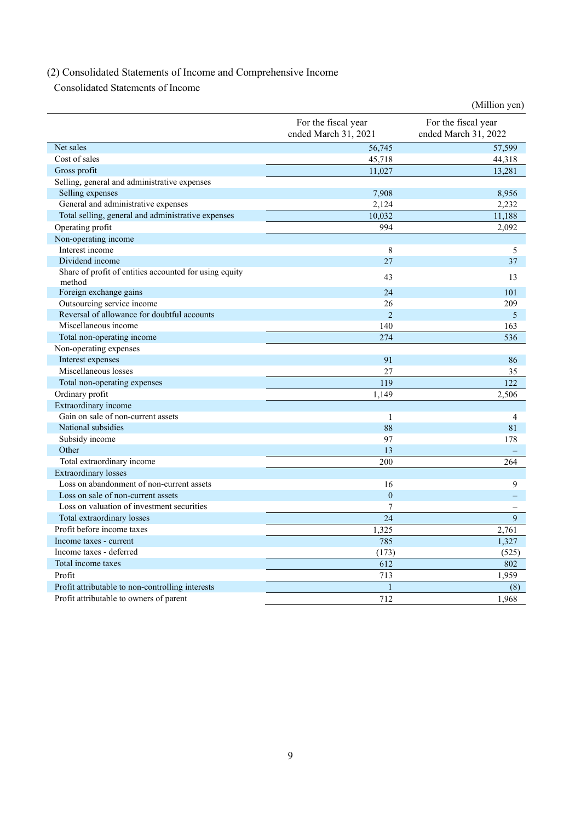# (2) Consolidated Statements of Income and Comprehensive Income

Consolidated Statements of Income

| For the fiscal year<br>For the fiscal year<br>ended March 31, 2021<br>ended March 31, 2022<br>Net sales<br>56,745<br>57,599<br>Cost of sales<br>45,718<br>44,318<br>11,027<br>Gross profit<br>13,281<br>Selling, general and administrative expenses<br>Selling expenses<br>7,908<br>8,956<br>General and administrative expenses<br>2,124<br>2,232<br>Total selling, general and administrative expenses<br>10,032<br>11,188<br>Operating profit<br>994<br>2,092<br>Non-operating income<br>Interest income<br>8<br>5<br>Dividend income<br>27<br>37<br>Share of profit of entities accounted for using equity<br>43<br>13<br>method<br>Foreign exchange gains<br>24<br>101<br>Outsourcing service income<br>209<br>26<br>Reversal of allowance for doubtful accounts<br>$\overline{2}$<br>5<br>Miscellaneous income<br>140<br>163<br>Total non-operating income<br>274<br>536<br>Non-operating expenses<br>Interest expenses<br>91<br>86<br>Miscellaneous losses<br>27<br>35<br>119<br>122<br>Total non-operating expenses<br>Ordinary profit<br>1,149<br>2,506<br>Extraordinary income<br>Gain on sale of non-current assets<br>$\mathbf{1}$<br>4<br>National subsidies<br>88<br>81<br>Subsidy income<br>97<br>178<br>Other<br>13<br>200<br>Total extraordinary income<br>264<br><b>Extraordinary losses</b><br>Loss on abandonment of non-current assets<br>16<br>9<br>Loss on sale of non-current assets<br>$\overline{0}$<br>二<br>Loss on valuation of investment securities<br>7<br>$\overline{24}$<br>9<br>Total extraordinary losses<br>Profit before income taxes<br>1,325<br>2,761<br>785<br>Income taxes - current<br>1,327<br>Income taxes - deferred<br>(525)<br>(173)<br>Total income taxes<br>612<br>802<br>713<br>Profit<br>1,959<br>Profit attributable to non-controlling interests<br>(8)<br>$\mathbf{1}$<br>Profit attributable to owners of parent<br>712<br>1,968 |  | (Million yen) |
|------------------------------------------------------------------------------------------------------------------------------------------------------------------------------------------------------------------------------------------------------------------------------------------------------------------------------------------------------------------------------------------------------------------------------------------------------------------------------------------------------------------------------------------------------------------------------------------------------------------------------------------------------------------------------------------------------------------------------------------------------------------------------------------------------------------------------------------------------------------------------------------------------------------------------------------------------------------------------------------------------------------------------------------------------------------------------------------------------------------------------------------------------------------------------------------------------------------------------------------------------------------------------------------------------------------------------------------------------------------------------------------------------------------------------------------------------------------------------------------------------------------------------------------------------------------------------------------------------------------------------------------------------------------------------------------------------------------------------------------------------------------------------------------------------------------------------------------------------------------------------------------|--|---------------|
|                                                                                                                                                                                                                                                                                                                                                                                                                                                                                                                                                                                                                                                                                                                                                                                                                                                                                                                                                                                                                                                                                                                                                                                                                                                                                                                                                                                                                                                                                                                                                                                                                                                                                                                                                                                                                                                                                          |  |               |
|                                                                                                                                                                                                                                                                                                                                                                                                                                                                                                                                                                                                                                                                                                                                                                                                                                                                                                                                                                                                                                                                                                                                                                                                                                                                                                                                                                                                                                                                                                                                                                                                                                                                                                                                                                                                                                                                                          |  |               |
|                                                                                                                                                                                                                                                                                                                                                                                                                                                                                                                                                                                                                                                                                                                                                                                                                                                                                                                                                                                                                                                                                                                                                                                                                                                                                                                                                                                                                                                                                                                                                                                                                                                                                                                                                                                                                                                                                          |  |               |
|                                                                                                                                                                                                                                                                                                                                                                                                                                                                                                                                                                                                                                                                                                                                                                                                                                                                                                                                                                                                                                                                                                                                                                                                                                                                                                                                                                                                                                                                                                                                                                                                                                                                                                                                                                                                                                                                                          |  |               |
|                                                                                                                                                                                                                                                                                                                                                                                                                                                                                                                                                                                                                                                                                                                                                                                                                                                                                                                                                                                                                                                                                                                                                                                                                                                                                                                                                                                                                                                                                                                                                                                                                                                                                                                                                                                                                                                                                          |  |               |
|                                                                                                                                                                                                                                                                                                                                                                                                                                                                                                                                                                                                                                                                                                                                                                                                                                                                                                                                                                                                                                                                                                                                                                                                                                                                                                                                                                                                                                                                                                                                                                                                                                                                                                                                                                                                                                                                                          |  |               |
|                                                                                                                                                                                                                                                                                                                                                                                                                                                                                                                                                                                                                                                                                                                                                                                                                                                                                                                                                                                                                                                                                                                                                                                                                                                                                                                                                                                                                                                                                                                                                                                                                                                                                                                                                                                                                                                                                          |  |               |
|                                                                                                                                                                                                                                                                                                                                                                                                                                                                                                                                                                                                                                                                                                                                                                                                                                                                                                                                                                                                                                                                                                                                                                                                                                                                                                                                                                                                                                                                                                                                                                                                                                                                                                                                                                                                                                                                                          |  |               |
|                                                                                                                                                                                                                                                                                                                                                                                                                                                                                                                                                                                                                                                                                                                                                                                                                                                                                                                                                                                                                                                                                                                                                                                                                                                                                                                                                                                                                                                                                                                                                                                                                                                                                                                                                                                                                                                                                          |  |               |
|                                                                                                                                                                                                                                                                                                                                                                                                                                                                                                                                                                                                                                                                                                                                                                                                                                                                                                                                                                                                                                                                                                                                                                                                                                                                                                                                                                                                                                                                                                                                                                                                                                                                                                                                                                                                                                                                                          |  |               |
|                                                                                                                                                                                                                                                                                                                                                                                                                                                                                                                                                                                                                                                                                                                                                                                                                                                                                                                                                                                                                                                                                                                                                                                                                                                                                                                                                                                                                                                                                                                                                                                                                                                                                                                                                                                                                                                                                          |  |               |
|                                                                                                                                                                                                                                                                                                                                                                                                                                                                                                                                                                                                                                                                                                                                                                                                                                                                                                                                                                                                                                                                                                                                                                                                                                                                                                                                                                                                                                                                                                                                                                                                                                                                                                                                                                                                                                                                                          |  |               |
|                                                                                                                                                                                                                                                                                                                                                                                                                                                                                                                                                                                                                                                                                                                                                                                                                                                                                                                                                                                                                                                                                                                                                                                                                                                                                                                                                                                                                                                                                                                                                                                                                                                                                                                                                                                                                                                                                          |  |               |
|                                                                                                                                                                                                                                                                                                                                                                                                                                                                                                                                                                                                                                                                                                                                                                                                                                                                                                                                                                                                                                                                                                                                                                                                                                                                                                                                                                                                                                                                                                                                                                                                                                                                                                                                                                                                                                                                                          |  |               |
|                                                                                                                                                                                                                                                                                                                                                                                                                                                                                                                                                                                                                                                                                                                                                                                                                                                                                                                                                                                                                                                                                                                                                                                                                                                                                                                                                                                                                                                                                                                                                                                                                                                                                                                                                                                                                                                                                          |  |               |
|                                                                                                                                                                                                                                                                                                                                                                                                                                                                                                                                                                                                                                                                                                                                                                                                                                                                                                                                                                                                                                                                                                                                                                                                                                                                                                                                                                                                                                                                                                                                                                                                                                                                                                                                                                                                                                                                                          |  |               |
|                                                                                                                                                                                                                                                                                                                                                                                                                                                                                                                                                                                                                                                                                                                                                                                                                                                                                                                                                                                                                                                                                                                                                                                                                                                                                                                                                                                                                                                                                                                                                                                                                                                                                                                                                                                                                                                                                          |  |               |
|                                                                                                                                                                                                                                                                                                                                                                                                                                                                                                                                                                                                                                                                                                                                                                                                                                                                                                                                                                                                                                                                                                                                                                                                                                                                                                                                                                                                                                                                                                                                                                                                                                                                                                                                                                                                                                                                                          |  |               |
|                                                                                                                                                                                                                                                                                                                                                                                                                                                                                                                                                                                                                                                                                                                                                                                                                                                                                                                                                                                                                                                                                                                                                                                                                                                                                                                                                                                                                                                                                                                                                                                                                                                                                                                                                                                                                                                                                          |  |               |
|                                                                                                                                                                                                                                                                                                                                                                                                                                                                                                                                                                                                                                                                                                                                                                                                                                                                                                                                                                                                                                                                                                                                                                                                                                                                                                                                                                                                                                                                                                                                                                                                                                                                                                                                                                                                                                                                                          |  |               |
|                                                                                                                                                                                                                                                                                                                                                                                                                                                                                                                                                                                                                                                                                                                                                                                                                                                                                                                                                                                                                                                                                                                                                                                                                                                                                                                                                                                                                                                                                                                                                                                                                                                                                                                                                                                                                                                                                          |  |               |
|                                                                                                                                                                                                                                                                                                                                                                                                                                                                                                                                                                                                                                                                                                                                                                                                                                                                                                                                                                                                                                                                                                                                                                                                                                                                                                                                                                                                                                                                                                                                                                                                                                                                                                                                                                                                                                                                                          |  |               |
|                                                                                                                                                                                                                                                                                                                                                                                                                                                                                                                                                                                                                                                                                                                                                                                                                                                                                                                                                                                                                                                                                                                                                                                                                                                                                                                                                                                                                                                                                                                                                                                                                                                                                                                                                                                                                                                                                          |  |               |
|                                                                                                                                                                                                                                                                                                                                                                                                                                                                                                                                                                                                                                                                                                                                                                                                                                                                                                                                                                                                                                                                                                                                                                                                                                                                                                                                                                                                                                                                                                                                                                                                                                                                                                                                                                                                                                                                                          |  |               |
|                                                                                                                                                                                                                                                                                                                                                                                                                                                                                                                                                                                                                                                                                                                                                                                                                                                                                                                                                                                                                                                                                                                                                                                                                                                                                                                                                                                                                                                                                                                                                                                                                                                                                                                                                                                                                                                                                          |  |               |
|                                                                                                                                                                                                                                                                                                                                                                                                                                                                                                                                                                                                                                                                                                                                                                                                                                                                                                                                                                                                                                                                                                                                                                                                                                                                                                                                                                                                                                                                                                                                                                                                                                                                                                                                                                                                                                                                                          |  |               |
|                                                                                                                                                                                                                                                                                                                                                                                                                                                                                                                                                                                                                                                                                                                                                                                                                                                                                                                                                                                                                                                                                                                                                                                                                                                                                                                                                                                                                                                                                                                                                                                                                                                                                                                                                                                                                                                                                          |  |               |
|                                                                                                                                                                                                                                                                                                                                                                                                                                                                                                                                                                                                                                                                                                                                                                                                                                                                                                                                                                                                                                                                                                                                                                                                                                                                                                                                                                                                                                                                                                                                                                                                                                                                                                                                                                                                                                                                                          |  |               |
|                                                                                                                                                                                                                                                                                                                                                                                                                                                                                                                                                                                                                                                                                                                                                                                                                                                                                                                                                                                                                                                                                                                                                                                                                                                                                                                                                                                                                                                                                                                                                                                                                                                                                                                                                                                                                                                                                          |  |               |
|                                                                                                                                                                                                                                                                                                                                                                                                                                                                                                                                                                                                                                                                                                                                                                                                                                                                                                                                                                                                                                                                                                                                                                                                                                                                                                                                                                                                                                                                                                                                                                                                                                                                                                                                                                                                                                                                                          |  |               |
|                                                                                                                                                                                                                                                                                                                                                                                                                                                                                                                                                                                                                                                                                                                                                                                                                                                                                                                                                                                                                                                                                                                                                                                                                                                                                                                                                                                                                                                                                                                                                                                                                                                                                                                                                                                                                                                                                          |  |               |
|                                                                                                                                                                                                                                                                                                                                                                                                                                                                                                                                                                                                                                                                                                                                                                                                                                                                                                                                                                                                                                                                                                                                                                                                                                                                                                                                                                                                                                                                                                                                                                                                                                                                                                                                                                                                                                                                                          |  |               |
|                                                                                                                                                                                                                                                                                                                                                                                                                                                                                                                                                                                                                                                                                                                                                                                                                                                                                                                                                                                                                                                                                                                                                                                                                                                                                                                                                                                                                                                                                                                                                                                                                                                                                                                                                                                                                                                                                          |  |               |
|                                                                                                                                                                                                                                                                                                                                                                                                                                                                                                                                                                                                                                                                                                                                                                                                                                                                                                                                                                                                                                                                                                                                                                                                                                                                                                                                                                                                                                                                                                                                                                                                                                                                                                                                                                                                                                                                                          |  |               |
|                                                                                                                                                                                                                                                                                                                                                                                                                                                                                                                                                                                                                                                                                                                                                                                                                                                                                                                                                                                                                                                                                                                                                                                                                                                                                                                                                                                                                                                                                                                                                                                                                                                                                                                                                                                                                                                                                          |  |               |
|                                                                                                                                                                                                                                                                                                                                                                                                                                                                                                                                                                                                                                                                                                                                                                                                                                                                                                                                                                                                                                                                                                                                                                                                                                                                                                                                                                                                                                                                                                                                                                                                                                                                                                                                                                                                                                                                                          |  |               |
|                                                                                                                                                                                                                                                                                                                                                                                                                                                                                                                                                                                                                                                                                                                                                                                                                                                                                                                                                                                                                                                                                                                                                                                                                                                                                                                                                                                                                                                                                                                                                                                                                                                                                                                                                                                                                                                                                          |  |               |
|                                                                                                                                                                                                                                                                                                                                                                                                                                                                                                                                                                                                                                                                                                                                                                                                                                                                                                                                                                                                                                                                                                                                                                                                                                                                                                                                                                                                                                                                                                                                                                                                                                                                                                                                                                                                                                                                                          |  |               |
|                                                                                                                                                                                                                                                                                                                                                                                                                                                                                                                                                                                                                                                                                                                                                                                                                                                                                                                                                                                                                                                                                                                                                                                                                                                                                                                                                                                                                                                                                                                                                                                                                                                                                                                                                                                                                                                                                          |  |               |
|                                                                                                                                                                                                                                                                                                                                                                                                                                                                                                                                                                                                                                                                                                                                                                                                                                                                                                                                                                                                                                                                                                                                                                                                                                                                                                                                                                                                                                                                                                                                                                                                                                                                                                                                                                                                                                                                                          |  |               |
|                                                                                                                                                                                                                                                                                                                                                                                                                                                                                                                                                                                                                                                                                                                                                                                                                                                                                                                                                                                                                                                                                                                                                                                                                                                                                                                                                                                                                                                                                                                                                                                                                                                                                                                                                                                                                                                                                          |  |               |
|                                                                                                                                                                                                                                                                                                                                                                                                                                                                                                                                                                                                                                                                                                                                                                                                                                                                                                                                                                                                                                                                                                                                                                                                                                                                                                                                                                                                                                                                                                                                                                                                                                                                                                                                                                                                                                                                                          |  |               |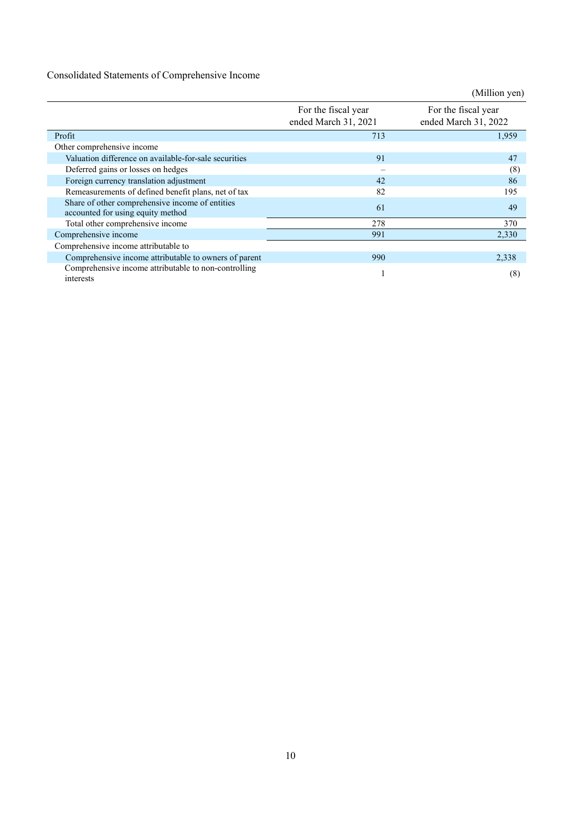# Consolidated Statements of Comprehensive Income

|                                                                                      |                                             | (Million yen)                               |
|--------------------------------------------------------------------------------------|---------------------------------------------|---------------------------------------------|
|                                                                                      | For the fiscal year<br>ended March 31, 2021 | For the fiscal year<br>ended March 31, 2022 |
| Profit                                                                               | 713                                         | 1,959                                       |
| Other comprehensive income                                                           |                                             |                                             |
| Valuation difference on available-for-sale securities                                | 91                                          | 47                                          |
| Deferred gains or losses on hedges                                                   | $\equiv$                                    | (8)                                         |
| Foreign currency translation adjustment                                              | 42                                          | 86                                          |
| Remeasurements of defined benefit plans, net of tax                                  | 82                                          | 195                                         |
| Share of other comprehensive income of entities<br>accounted for using equity method | 61                                          | 49                                          |
| Total other comprehensive income                                                     | 278                                         | 370                                         |
| Comprehensive income                                                                 | 991                                         | 2,330                                       |
| Comprehensive income attributable to                                                 |                                             |                                             |
| Comprehensive income attributable to owners of parent                                | 990                                         | 2,338                                       |
| Comprehensive income attributable to non-controlling<br>interests                    |                                             | (8)                                         |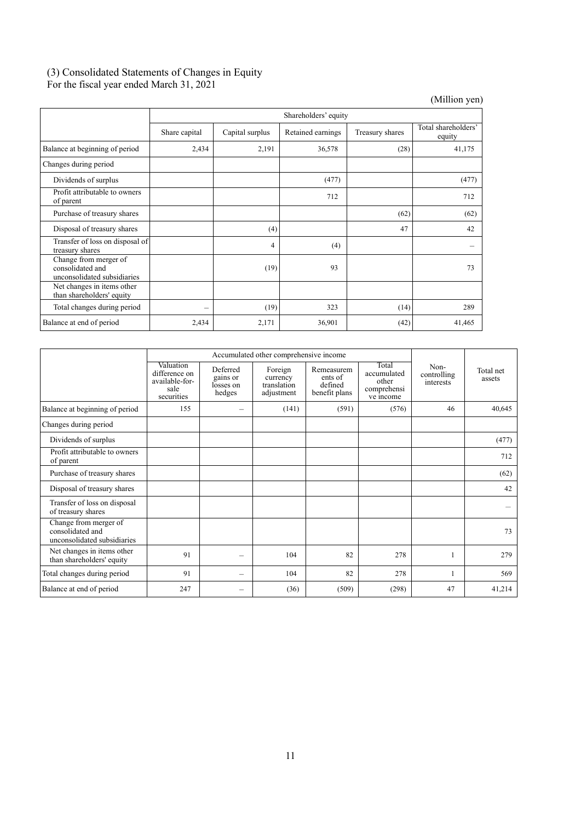# (3) Consolidated Statements of Changes in Equity For the fiscal year ended March 31, 2021

(Million yen)

|                                                                          | Shareholders' equity |                 |                   |                 |                               |
|--------------------------------------------------------------------------|----------------------|-----------------|-------------------|-----------------|-------------------------------|
|                                                                          | Share capital        | Capital surplus | Retained earnings | Treasury shares | Total shareholders'<br>equity |
| Balance at beginning of period                                           | 2,434                | 2,191           | 36,578            | (28)            | 41,175                        |
| Changes during period                                                    |                      |                 |                   |                 |                               |
| Dividends of surplus                                                     |                      |                 | (477)             |                 | (477)                         |
| Profit attributable to owners<br>of parent                               |                      |                 | 712               |                 | 712                           |
| Purchase of treasury shares                                              |                      |                 |                   | (62)            | (62)                          |
| Disposal of treasury shares                                              |                      | (4)             |                   | 47              | 42                            |
| Transfer of loss on disposal of<br>treasury shares                       |                      | 4               | (4)               |                 |                               |
| Change from merger of<br>consolidated and<br>unconsolidated subsidiaries |                      | (19)            | 93                |                 | 73                            |
| Net changes in items other<br>than shareholders' equity                  |                      |                 |                   |                 |                               |
| Total changes during period                                              | —                    | (19)            | 323               | (14)            | 289                           |
| Balance at end of period                                                 | 2,434                | 2,171           | 36,901            | (42)            | 41,465                        |

|                                                                          |                                                                    | Accumulated other comprehensive income      |                                                  |                                                   |                                                           |                                  |                     |
|--------------------------------------------------------------------------|--------------------------------------------------------------------|---------------------------------------------|--------------------------------------------------|---------------------------------------------------|-----------------------------------------------------------|----------------------------------|---------------------|
|                                                                          | Valuation<br>difference on<br>available-for-<br>sale<br>securities | Deferred<br>gains or<br>losses on<br>hedges | Foreign<br>currency<br>translation<br>adjustment | Remeasurem<br>ents of<br>defined<br>benefit plans | Total<br>accumulated<br>other<br>comprehensi<br>ve income | Non-<br>controlling<br>interests | Total net<br>assets |
| Balance at beginning of period                                           | 155                                                                |                                             | (141)                                            | (591)                                             | (576)                                                     | 46                               | 40,645              |
| Changes during period                                                    |                                                                    |                                             |                                                  |                                                   |                                                           |                                  |                     |
| Dividends of surplus                                                     |                                                                    |                                             |                                                  |                                                   |                                                           |                                  | (477)               |
| Profit attributable to owners<br>of parent                               |                                                                    |                                             |                                                  |                                                   |                                                           |                                  | 712                 |
| Purchase of treasury shares                                              |                                                                    |                                             |                                                  |                                                   |                                                           |                                  | (62)                |
| Disposal of treasury shares                                              |                                                                    |                                             |                                                  |                                                   |                                                           |                                  | 42                  |
| Transfer of loss on disposal<br>of treasury shares                       |                                                                    |                                             |                                                  |                                                   |                                                           |                                  |                     |
| Change from merger of<br>consolidated and<br>unconsolidated subsidiaries |                                                                    |                                             |                                                  |                                                   |                                                           |                                  | 73                  |
| Net changes in items other<br>than shareholders' equity                  | 91                                                                 | -                                           | 104                                              | 82                                                | 278                                                       |                                  | 279                 |
| Total changes during period                                              | 91                                                                 | -                                           | 104                                              | 82                                                | 278                                                       |                                  | 569                 |
| Balance at end of period                                                 | 247                                                                |                                             | (36)                                             | (509)                                             | (298)                                                     | 47                               | 41,214              |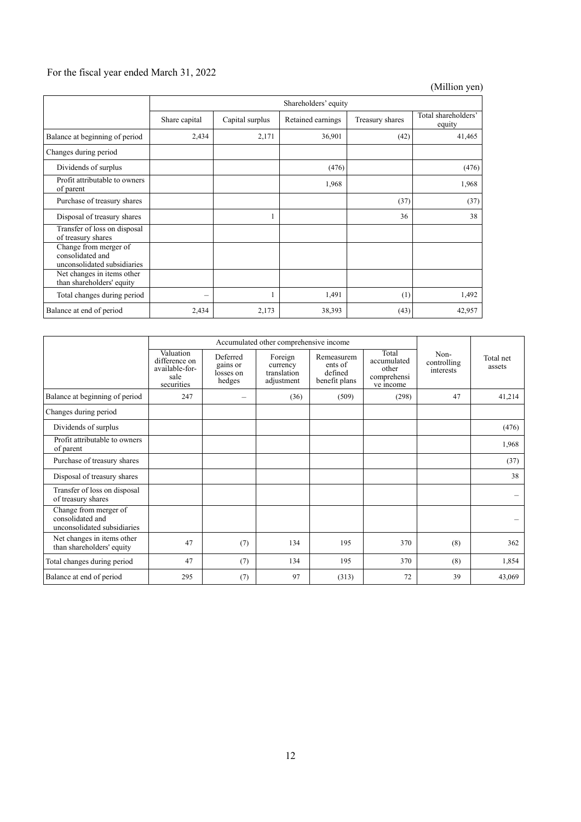# For the fiscal year ended March 31, 2022

(Million yen)

|                                                                          | Shareholders' equity |                 |                   |                 |                               |  |
|--------------------------------------------------------------------------|----------------------|-----------------|-------------------|-----------------|-------------------------------|--|
|                                                                          | Share capital        | Capital surplus | Retained earnings | Treasury shares | Total shareholders'<br>equity |  |
| Balance at beginning of period                                           | 2,434                | 2,171           | 36,901            | (42)            | 41,465                        |  |
| Changes during period                                                    |                      |                 |                   |                 |                               |  |
| Dividends of surplus                                                     |                      |                 | (476)             |                 | (476)                         |  |
| Profit attributable to owners<br>of parent                               |                      |                 | 1,968             |                 | 1,968                         |  |
| Purchase of treasury shares                                              |                      |                 |                   | (37)            | (37)                          |  |
| Disposal of treasury shares                                              |                      |                 |                   | 36              | 38                            |  |
| Transfer of loss on disposal<br>of treasury shares                       |                      |                 |                   |                 |                               |  |
| Change from merger of<br>consolidated and<br>unconsolidated subsidiaries |                      |                 |                   |                 |                               |  |
| Net changes in items other<br>than shareholders' equity                  |                      |                 |                   |                 |                               |  |
| Total changes during period                                              |                      |                 | 1,491             | (1)             | 1,492                         |  |
| Balance at end of period                                                 | 2,434                | 2,173           | 38,393            | (43)            | 42,957                        |  |

|                                                                          | Accumulated other comprehensive income                             |                                             |                                                  |                                                   |                                                           |                                  |                     |
|--------------------------------------------------------------------------|--------------------------------------------------------------------|---------------------------------------------|--------------------------------------------------|---------------------------------------------------|-----------------------------------------------------------|----------------------------------|---------------------|
|                                                                          | Valuation<br>difference on<br>available-for-<br>sale<br>securities | Deferred<br>gains or<br>losses on<br>hedges | Foreign<br>currency<br>translation<br>adjustment | Remeasurem<br>ents of<br>defined<br>benefit plans | Total<br>accumulated<br>other<br>comprehensi<br>ve income | Non-<br>controlling<br>interests | Total net<br>assets |
| Balance at beginning of period                                           | 247                                                                |                                             | (36)                                             | (509)                                             | (298)                                                     | 47                               | 41,214              |
| Changes during period                                                    |                                                                    |                                             |                                                  |                                                   |                                                           |                                  |                     |
| Dividends of surplus                                                     |                                                                    |                                             |                                                  |                                                   |                                                           |                                  | (476)               |
| Profit attributable to owners<br>of parent                               |                                                                    |                                             |                                                  |                                                   |                                                           |                                  | 1,968               |
| Purchase of treasury shares                                              |                                                                    |                                             |                                                  |                                                   |                                                           |                                  | (37)                |
| Disposal of treasury shares                                              |                                                                    |                                             |                                                  |                                                   |                                                           |                                  | 38                  |
| Transfer of loss on disposal<br>of treasury shares                       |                                                                    |                                             |                                                  |                                                   |                                                           |                                  |                     |
| Change from merger of<br>consolidated and<br>unconsolidated subsidiaries |                                                                    |                                             |                                                  |                                                   |                                                           |                                  |                     |
| Net changes in items other<br>than shareholders' equity                  | 47                                                                 | (7)                                         | 134                                              | 195                                               | 370                                                       | (8)                              | 362                 |
| Total changes during period                                              | 47                                                                 | (7)                                         | 134                                              | 195                                               | 370                                                       | (8)                              | 1,854               |
| Balance at end of period                                                 | 295                                                                | (7)                                         | 97                                               | (313)                                             | 72                                                        | 39                               | 43,069              |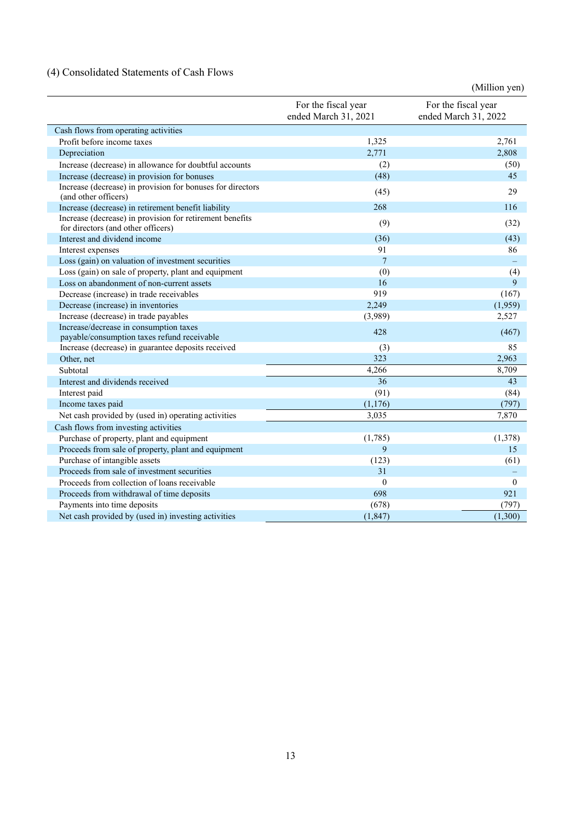# (4) Consolidated Statements of Cash Flows

|                                                                                                |                                             | (Million yen)                               |
|------------------------------------------------------------------------------------------------|---------------------------------------------|---------------------------------------------|
|                                                                                                | For the fiscal year<br>ended March 31, 2021 | For the fiscal year<br>ended March 31, 2022 |
| Cash flows from operating activities                                                           |                                             |                                             |
| Profit before income taxes                                                                     | 1,325                                       | 2,761                                       |
| Depreciation                                                                                   | 2,771                                       | 2,808                                       |
| Increase (decrease) in allowance for doubtful accounts                                         | (2)                                         | (50)                                        |
| Increase (decrease) in provision for bonuses                                                   | (48)                                        | 45                                          |
| Increase (decrease) in provision for bonuses for directors<br>(and other officers)             | (45)                                        | 29                                          |
| Increase (decrease) in retirement benefit liability                                            | 268                                         | 116                                         |
| Increase (decrease) in provision for retirement benefits<br>for directors (and other officers) | (9)                                         | (32)                                        |
| Interest and dividend income                                                                   | (36)                                        | (43)                                        |
| Interest expenses                                                                              | 91                                          | 86                                          |
| Loss (gain) on valuation of investment securities                                              | $\overline{7}$                              |                                             |
| Loss (gain) on sale of property, plant and equipment                                           | (0)                                         | (4)                                         |
| Loss on abandonment of non-current assets                                                      | 16                                          | 9                                           |
| Decrease (increase) in trade receivables                                                       | 919                                         | (167)                                       |
| Decrease (increase) in inventories                                                             | 2,249                                       | (1,959)                                     |
| Increase (decrease) in trade payables                                                          | (3,989)                                     | 2,527                                       |
| Increase/decrease in consumption taxes                                                         | 428                                         | (467)                                       |
| payable/consumption taxes refund receivable                                                    |                                             |                                             |
| Increase (decrease) in guarantee deposits received                                             | (3)                                         | 85                                          |
| Other, net                                                                                     | 323                                         | 2,963                                       |
| Subtotal                                                                                       | 4,266                                       | 8,709                                       |
| Interest and dividends received                                                                | 36                                          | 43                                          |
| Interest paid                                                                                  | (91)                                        | (84)                                        |
| Income taxes paid                                                                              | (1,176)                                     | (797)                                       |
| Net cash provided by (used in) operating activities                                            | 3,035                                       | 7,870                                       |
| Cash flows from investing activities                                                           |                                             |                                             |
| Purchase of property, plant and equipment                                                      | (1,785)                                     | (1,378)                                     |
| Proceeds from sale of property, plant and equipment                                            | 9                                           | 15                                          |
| Purchase of intangible assets                                                                  | (123)                                       | (61)                                        |
| Proceeds from sale of investment securities                                                    | 31                                          |                                             |
| Proceeds from collection of loans receivable                                                   | $\mathbf{0}$                                | $\overline{0}$                              |
| Proceeds from withdrawal of time deposits                                                      | 698                                         | 921                                         |
| Payments into time deposits                                                                    | (678)                                       | (797)                                       |
| Net cash provided by (used in) investing activities                                            | (1, 847)                                    | (1,300)                                     |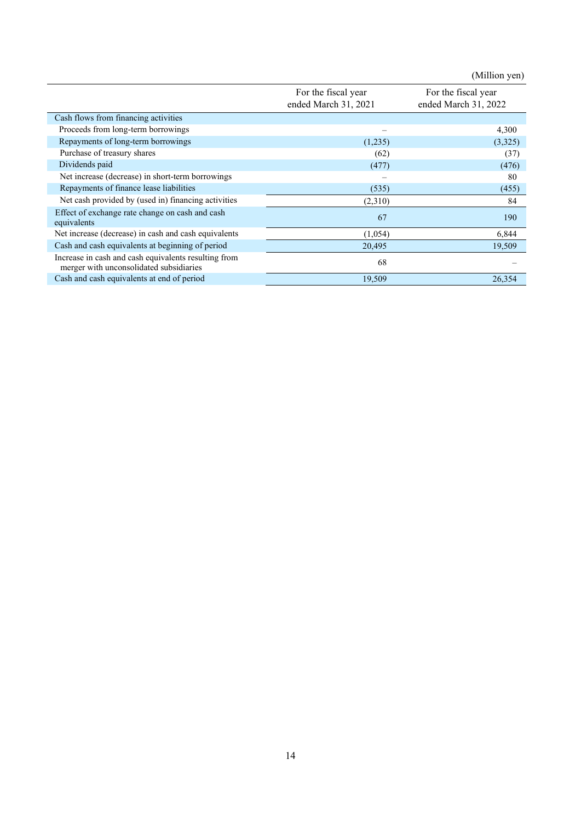(Million yen) For the fiscal year ended March 31, 2021 For the fiscal year ended March 31, 2022 Cash flows from financing activities Proceeds from long-term borrowings – 4,300 Repayments of long-term borrowings (1,235) (3,325) Purchase of treasury shares (62) (37) Dividends paid (476) (477) (476) Net increase (decrease) in short-term borrowings extended to the state of the state of the state of the state of the state of the state of the state of the state of the state of the state of the state of the state of the s Repayments of finance lease liabilities (535) (455) Net cash provided by (used in) financing activities (2,310) 84 Effect of exchange rate change on cash and cash equivalents 67 190 Net increase (decrease) in cash and cash equivalents (1,054) 6,844 Cash and cash equivalents at beginning of period 20,495 19,509 Increase in cash and cash equivalents resulting from merger with unconsolidated subsidiaries 68 – Cash and cash equivalents at end of period 19,509 26,354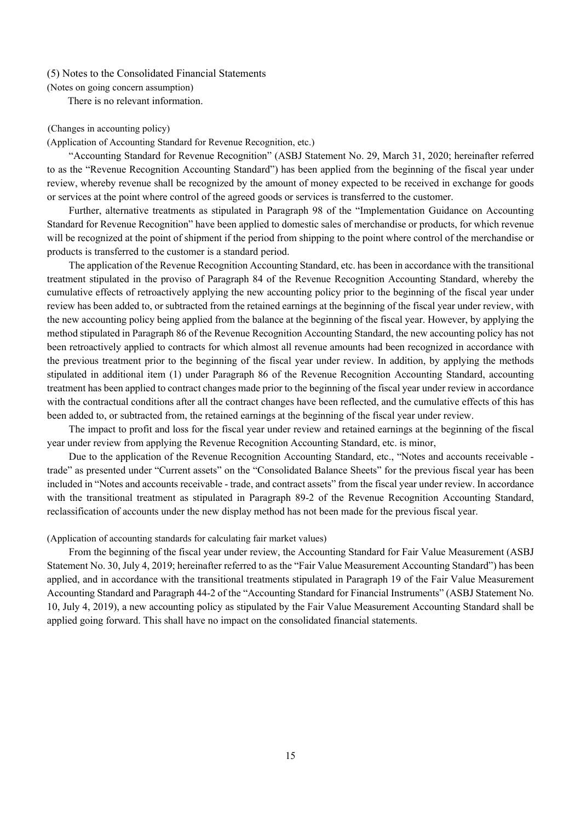#### (5) Notes to the Consolidated Financial Statements

(Notes on going concern assumption)

There is no relevant information.

#### (Changes in accounting policy)

#### (Application of Accounting Standard for Revenue Recognition, etc.)

"Accounting Standard for Revenue Recognition" (ASBJ Statement No. 29, March 31, 2020; hereinafter referred to as the "Revenue Recognition Accounting Standard") has been applied from the beginning of the fiscal year under review, whereby revenue shall be recognized by the amount of money expected to be received in exchange for goods or services at the point where control of the agreed goods or services is transferred to the customer.

Further, alternative treatments as stipulated in Paragraph 98 of the "Implementation Guidance on Accounting Standard for Revenue Recognition" have been applied to domestic sales of merchandise or products, for which revenue will be recognized at the point of shipment if the period from shipping to the point where control of the merchandise or products is transferred to the customer is a standard period.

The application of the Revenue Recognition Accounting Standard, etc. has been in accordance with the transitional treatment stipulated in the proviso of Paragraph 84 of the Revenue Recognition Accounting Standard, whereby the cumulative effects of retroactively applying the new accounting policy prior to the beginning of the fiscal year under review has been added to, or subtracted from the retained earnings at the beginning of the fiscal year under review, with the new accounting policy being applied from the balance at the beginning of the fiscal year. However, by applying the method stipulated in Paragraph 86 of the Revenue Recognition Accounting Standard, the new accounting policy has not been retroactively applied to contracts for which almost all revenue amounts had been recognized in accordance with the previous treatment prior to the beginning of the fiscal year under review. In addition, by applying the methods stipulated in additional item (1) under Paragraph 86 of the Revenue Recognition Accounting Standard, accounting treatment has been applied to contract changes made prior to the beginning of the fiscal year under review in accordance with the contractual conditions after all the contract changes have been reflected, and the cumulative effects of this has been added to, or subtracted from, the retained earnings at the beginning of the fiscal year under review.

The impact to profit and loss for the fiscal year under review and retained earnings at the beginning of the fiscal year under review from applying the Revenue Recognition Accounting Standard, etc. is minor,

Due to the application of the Revenue Recognition Accounting Standard, etc., "Notes and accounts receivable trade" as presented under "Current assets" on the "Consolidated Balance Sheets" for the previous fiscal year has been included in "Notes and accounts receivable - trade, and contract assets" from the fiscal year under review. In accordance with the transitional treatment as stipulated in Paragraph 89-2 of the Revenue Recognition Accounting Standard, reclassification of accounts under the new display method has not been made for the previous fiscal year.

## (Application of accounting standards for calculating fair market values)

From the beginning of the fiscal year under review, the Accounting Standard for Fair Value Measurement (ASBJ Statement No. 30, July 4, 2019; hereinafter referred to as the "Fair Value Measurement Accounting Standard") has been applied, and in accordance with the transitional treatments stipulated in Paragraph 19 of the Fair Value Measurement Accounting Standard and Paragraph 44-2 of the "Accounting Standard for Financial Instruments" (ASBJ Statement No. 10, July 4, 2019), a new accounting policy as stipulated by the Fair Value Measurement Accounting Standard shall be applied going forward. This shall have no impact on the consolidated financial statements.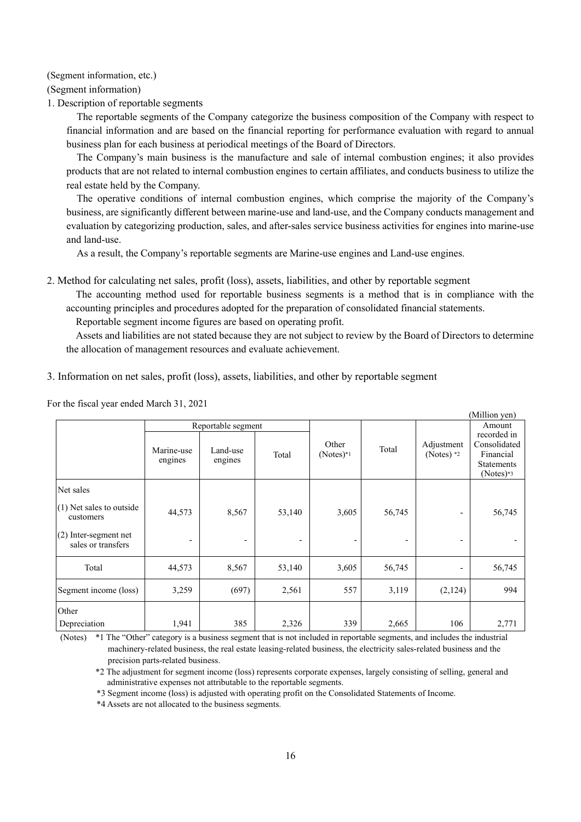(Segment information, etc.)

(Segment information)

1. Description of reportable segments

The reportable segments of the Company categorize the business composition of the Company with respect to financial information and are based on the financial reporting for performance evaluation with regard to annual business plan for each business at periodical meetings of the Board of Directors.

The Company's main business is the manufacture and sale of internal combustion engines; it also provides products that are not related to internal combustion engines to certain affiliates, and conducts business to utilize the real estate held by the Company.

The operative conditions of internal combustion engines, which comprise the majority of the Company's business, are significantly different between marine-use and land-use, and the Company conducts management and evaluation by categorizing production, sales, and after-sales service business activities for engines into marine-use and land-use.

As a result, the Company's reportable segments are Marine-use engines and Land-use engines.

2. Method for calculating net sales, profit (loss), assets, liabilities, and other by reportable segment

The accounting method used for reportable business segments is a method that is in compliance with the accounting principles and procedures adopted for the preparation of consolidated financial statements.

Reportable segment income figures are based on operating profit.

Assets and liabilities are not stated because they are not subject to review by the Board of Directors to determine the allocation of management resources and evaluate achievement.

 $(A, A^{\dagger}A)^T$ 

3. Information on net sales, profit (loss), assets, liabilities, and other by reportable segment

|                                               |                          |                                                      |                          |                          |                            |                                                                              | (IVIIIIIOII VEII) |
|-----------------------------------------------|--------------------------|------------------------------------------------------|--------------------------|--------------------------|----------------------------|------------------------------------------------------------------------------|-------------------|
|                                               |                          | Reportable segment                                   |                          |                          |                            |                                                                              | Amount            |
|                                               | Marine-use<br>engines    | Other<br>Land-use<br>$(Notes)*1$<br>Total<br>engines |                          | Total                    | Adjustment<br>(Notes) $*2$ | recorded in<br>Consolidated<br>Financial<br><b>Statements</b><br>$(Notes)*3$ |                   |
| Net sales                                     |                          |                                                      |                          |                          |                            |                                                                              |                   |
| $(1)$ Net sales to outside<br>customers       | 44,573                   | 8,567                                                | 53,140                   | 3,605                    | 56,745                     |                                                                              | 56,745            |
| $(2)$ Inter-segment net<br>sales or transfers | $\overline{\phantom{a}}$ | $\overline{\phantom{a}}$                             | $\overline{\phantom{a}}$ | $\overline{\phantom{a}}$ | $\overline{\phantom{a}}$   | $\overline{\phantom{0}}$                                                     |                   |
| Total                                         | 44,573                   | 8,567                                                | 53,140                   | 3,605                    | 56,745                     |                                                                              | 56,745            |
| Segment income (loss)                         | 3,259                    | (697)                                                | 2,561                    | 557                      | 3,119                      | (2,124)                                                                      | 994               |
| Other                                         |                          |                                                      |                          |                          |                            |                                                                              |                   |
| Depreciation                                  | 1,941                    | 385                                                  | 2,326                    | 339                      | 2,665                      | 106                                                                          | 2,771             |

For the fiscal year ended March 31, 2021

(Notes) \*1 The "Other" category is a business segment that is not included in reportable segments, and includes the industrial machinery-related business, the real estate leasing-related business, the electricity sales-related business and the precision parts-related business.

\*2 The adjustment for segment income (loss) represents corporate expenses, largely consisting of selling, general and administrative expenses not attributable to the reportable segments.

\*3 Segment income (loss) is adjusted with operating profit on the Consolidated Statements of Income.

\*4 Assets are not allocated to the business segments.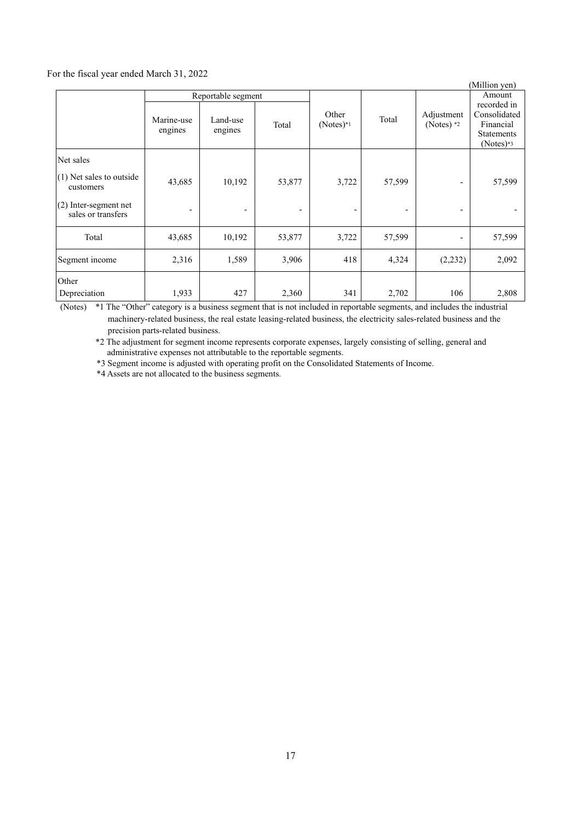#### For the fiscal year ended March 31, 2022

|                                                                                                     |                                                                             |             |                      |       |                            |                                                                                        | (Million yen) |
|-----------------------------------------------------------------------------------------------------|-----------------------------------------------------------------------------|-------------|----------------------|-------|----------------------------|----------------------------------------------------------------------------------------|---------------|
|                                                                                                     | Reportable segment<br>Marine-use<br>Land-use<br>Total<br>engines<br>engines |             | Other<br>$(Notes)*1$ | Total | Adjustment<br>(Notes) $*2$ | Amount<br>recorded in<br>Consolidated<br>Financial<br><b>Statements</b><br>$(Notes)*3$ |               |
| Net sales<br>$(1)$ Net sales to outside<br>customers<br>(2) Inter-segment net<br>sales or transfers | 43,685<br>$\overline{\phantom{a}}$                                          | 10,192<br>- | 53,877               | 3,722 | 57,599<br>-                | $\overline{a}$                                                                         | 57,599        |
| Total                                                                                               | 43,685                                                                      | 10,192      | 53,877               | 3,722 | 57,599                     | $\overline{\phantom{0}}$                                                               | 57,599        |
| Segment income                                                                                      | 2,316                                                                       | 1,589       | 3,906                | 418   | 4,324                      | (2, 232)                                                                               | 2,092         |
| Other<br>Depreciation                                                                               | 1,933                                                                       | 427         | 2,360                | 341   | 2,702                      | 106                                                                                    | 2,808         |

(Notes) \*1 The "Other" category is a business segment that is not included in reportable segments, and includes the industrial machinery-related business, the real estate leasing-related business, the electricity sales-related business and the precision parts-related business.

\*2 The adjustment for segment income represents corporate expenses, largely consisting of selling, general and administrative expenses not attributable to the reportable segments.

\*3 Segment income is adjusted with operating profit on the Consolidated Statements of Income.

\*4 Assets are not allocated to the business segments.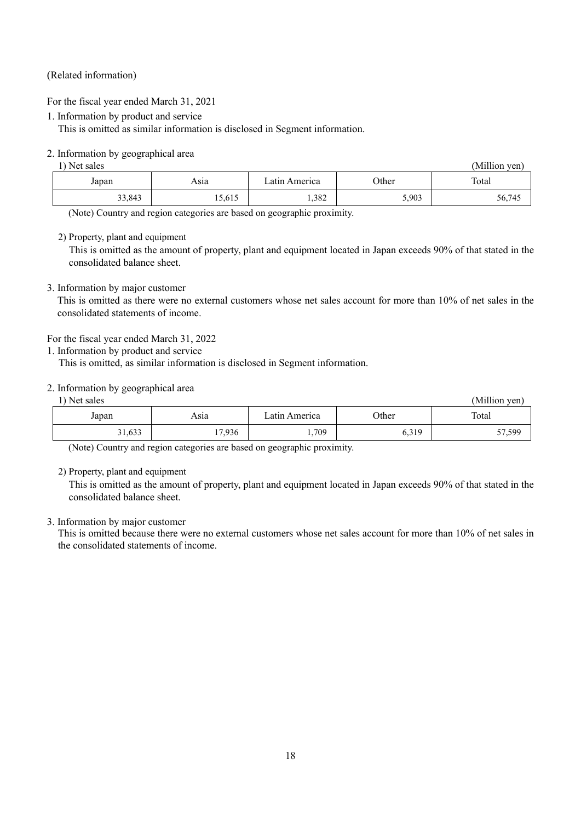# (Related information)

For the fiscal year ended March 31, 2021

1. Information by product and service

This is omitted as similar information is disclosed in Segment information.

# 2. Information by geographical area

| Net sales |        |               |       |        |  |  |  |  |
|-----------|--------|---------------|-------|--------|--|--|--|--|
| Japan     | Asıa   | Latın America | Other | Total  |  |  |  |  |
| 33,843    | 15,615 | 1,382         | 5,903 | 56,745 |  |  |  |  |

(Note) Country and region categories are based on geographic proximity.

2) Property, plant and equipment

This is omitted as the amount of property, plant and equipment located in Japan exceeds 90% of that stated in the consolidated balance sheet.

# 3. Information by major customer

This is omitted as there were no external customers whose net sales account for more than 10% of net sales in the consolidated statements of income.

For the fiscal year ended March 31, 2022

1. Information by product and service

This is omitted, as similar information is disclosed in Segment information.

## 2. Information by geographical area

| ) Net sales |        |               |       | (Million yen) |
|-------------|--------|---------------|-------|---------------|
| Japan       | Asıa   | Latın America | Other | Total         |
| 31,633      | 17,936 | 1,709         | 6,319 | 57,599        |

(Note) Country and region categories are based on geographic proximity.

2) Property, plant and equipment

This is omitted as the amount of property, plant and equipment located in Japan exceeds 90% of that stated in the consolidated balance sheet.

## 3. Information by major customer

This is omitted because there were no external customers whose net sales account for more than 10% of net sales in the consolidated statements of income.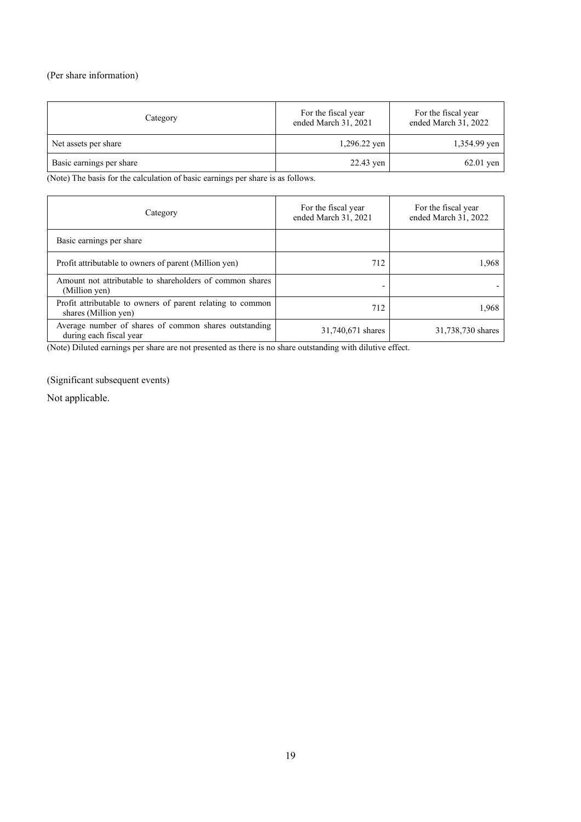# (Per share information)

| Category                 | For the fiscal year<br>ended March 31, 2021 | For the fiscal year<br>ended March 31, 2022 |
|--------------------------|---------------------------------------------|---------------------------------------------|
| Net assets per share     | $1,296.22$ yen                              | 1,354.99 yen                                |
| Basic earnings per share | 22.43 yen                                   | $62.01$ yen                                 |

(Note) The basis for the calculation of basic earnings per share is as follows.

| Category                                                                           | For the fiscal year<br>ended March 31, 2021 | For the fiscal year<br>ended March 31, 2022 |
|------------------------------------------------------------------------------------|---------------------------------------------|---------------------------------------------|
| Basic earnings per share                                                           |                                             |                                             |
| Profit attributable to owners of parent (Million yen)                              | 712                                         | 1,968                                       |
| Amount not attributable to shareholders of common shares<br>(Million yen)          |                                             |                                             |
| Profit attributable to owners of parent relating to common<br>shares (Million yen) | 712                                         | 1.968                                       |
| Average number of shares of common shares outstanding<br>during each fiscal year   | 31,740,671 shares                           | 31,738,730 shares                           |

(Note) Diluted earnings per share are not presented as there is no share outstanding with dilutive effect.

(Significant subsequent events)

Not applicable.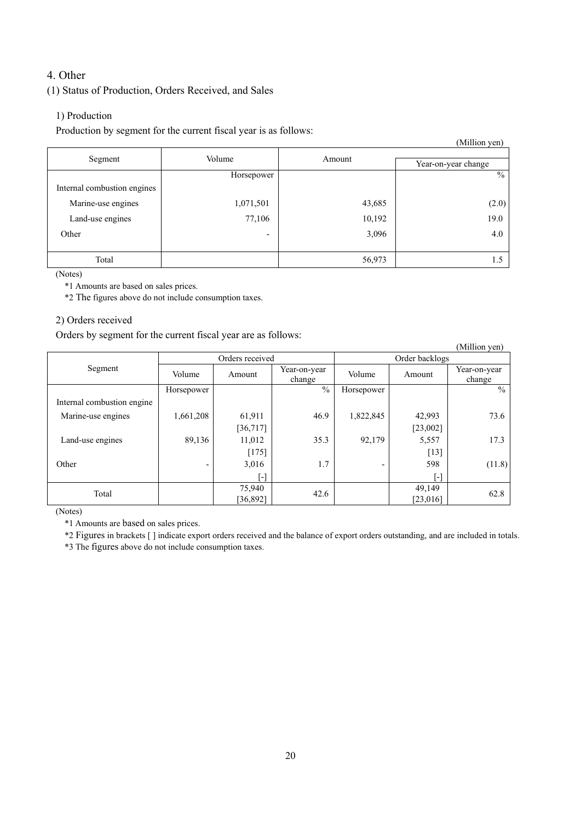# 4. Other

# (1) Status of Production, Orders Received, and Sales

# 1) Production

Production by segment for the current fiscal year is as follows:

|                             |                          |        | (Million yen)       |
|-----------------------------|--------------------------|--------|---------------------|
| Segment                     | Volume                   | Amount |                     |
|                             |                          |        | Year-on-year change |
|                             | Horsepower               |        | $\%$                |
| Internal combustion engines |                          |        |                     |
| Marine-use engines          | 1,071,501                | 43,685 | (2.0)               |
| Land-use engines            | 77,106                   | 10,192 | 19.0                |
| Other                       | $\overline{\phantom{0}}$ | 3,096  | 4.0                 |
|                             |                          |        |                     |
| Total                       |                          | 56,973 | 1.5                 |

(Notes)

\*1 Amounts are based on sales prices.

\*2 The figures above do not include consumption taxes.

## 2) Orders received

Orders by segment for the current fiscal year are as follows:

| ┙<br>$\circ$               |                 |                         |                        |                          |          | (Million yen)          |
|----------------------------|-----------------|-------------------------|------------------------|--------------------------|----------|------------------------|
|                            | Orders received |                         |                        | Order backlogs           |          |                        |
| Segment                    | Volume          | Amount                  | Year-on-year<br>change | Volume                   | Amount   | Year-on-year<br>change |
|                            | Horsepower      |                         | $\frac{0}{0}$          | Horsepower               |          | $\frac{0}{0}$          |
| Internal combustion engine |                 |                         |                        |                          |          |                        |
| Marine-use engines         | 1,661,208       | 61,911                  | 46.9                   | 1,822,845                | 42,993   | 73.6                   |
|                            |                 | [36, 717]               |                        |                          | [23,002] |                        |
| Land-use engines           | 89,136          | 11,012                  | 35.3                   | 92,179                   | 5,557    | 17.3                   |
|                            |                 | $[175]$                 |                        |                          | $[13]$   |                        |
| Other                      | -               | 3,016                   | 1.7                    | $\overline{\phantom{0}}$ | 598      | (11.8)                 |
|                            |                 | $\lbrack \cdot \rbrack$ |                        |                          | [-]      |                        |
| Total                      |                 | 75,940                  | 42.6                   |                          | 49,149   | 62.8                   |
|                            |                 | [36,892]                |                        |                          | [23,016] |                        |

(Notes)

\*1 Amounts are based on sales prices.

\*2 Figures in brackets [ ] indicate export orders received and the balance of export orders outstanding, and are included in totals.

\*3 The figures above do not include consumption taxes.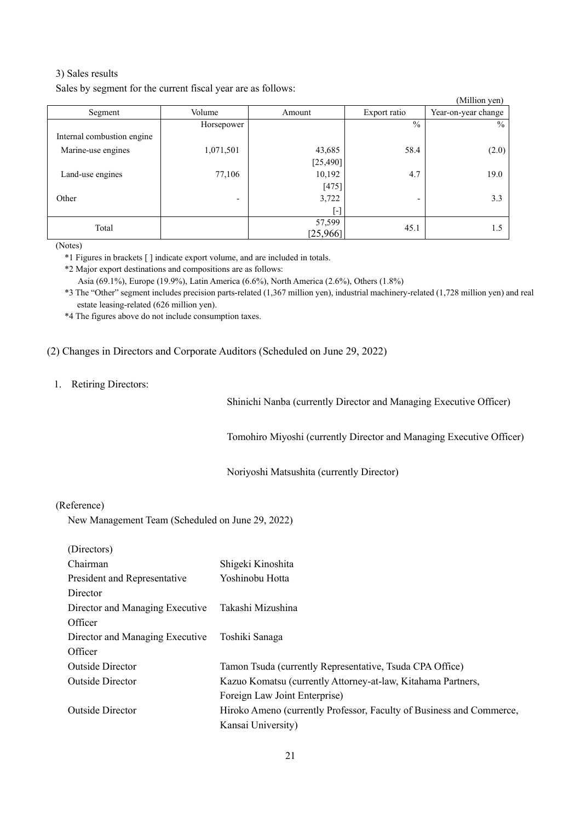## 3) Sales results

Sales by segment for the current fiscal year are as follows:

|                            |                          |           |                          | (Million yen)       |
|----------------------------|--------------------------|-----------|--------------------------|---------------------|
| Segment                    | Volume                   | Amount    | Export ratio             | Year-on-year change |
|                            | Horsepower               |           | $\frac{0}{0}$            | $\%$                |
| Internal combustion engine |                          |           |                          |                     |
| Marine-use engines         | 1,071,501                | 43,685    | 58.4                     | (2.0)               |
|                            |                          | [25, 490] |                          |                     |
| Land-use engines           | 77,106                   | 10,192    | 4.7                      | 19.0                |
|                            |                          | $[475]$   |                          |                     |
| Other                      | $\overline{\phantom{0}}$ | 3,722     | $\overline{\phantom{a}}$ | 3.3                 |
|                            |                          | [-]       |                          |                     |
| Total                      |                          | 57,599    | 45.1                     | 1.5                 |
|                            |                          | [25,966]  |                          |                     |

(Notes)

\*1 Figures in brackets [ ] indicate export volume, and are included in totals.

\*2 Major export destinations and compositions are as follows:

Asia (69.1%), Europe (19.9%), Latin America (6.6%), North America (2.6%), Others (1.8%)

\*3 The "Other" segment includes precision parts-related (1,367 million yen), industrial machinery-related (1,728 million yen) and real estate leasing-related (626 million yen).

\*4 The figures above do not include consumption taxes.

(2) Changes in Directors and Corporate Auditors (Scheduled on June 29, 2022)

1. Retiring Directors:

Shinichi Nanba (currently Director and Managing Executive Officer)

Tomohiro Miyoshi (currently Director and Managing Executive Officer)

Noriyoshi Matsushita (currently Director)

#### (Reference)

New Management Team (Scheduled on June 29, 2022)

| (Directors)                     |                                                                      |
|---------------------------------|----------------------------------------------------------------------|
| Chairman                        | Shigeki Kinoshita                                                    |
| President and Representative    | Yoshinobu Hotta                                                      |
| Director                        |                                                                      |
| Director and Managing Executive | Takashi Mizushina                                                    |
| Officer                         |                                                                      |
| Director and Managing Executive | Toshiki Sanaga                                                       |
| Officer                         |                                                                      |
| <b>Outside Director</b>         | Tamon Tsuda (currently Representative, Tsuda CPA Office)             |
| <b>Outside Director</b>         | Kazuo Komatsu (currently Attorney-at-law, Kitahama Partners,         |
|                                 | Foreign Law Joint Enterprise)                                        |
| <b>Outside Director</b>         | Hiroko Ameno (currently Professor, Faculty of Business and Commerce, |
|                                 | Kansai University)                                                   |